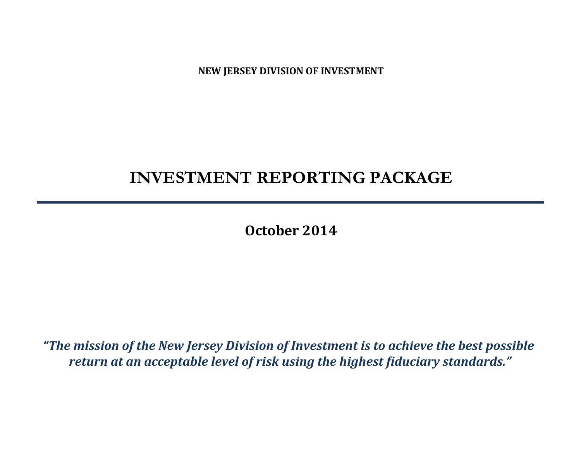**NEW JERSEY DIVISION OF INVESTMENT**

# **INVESTMENT REPORTING PACKAGE**

**October 2014**

*"The mission of the New Jersey Division of Investment is to achieve the best possible return at an acceptable level of risk using the highest fiduciary standards."*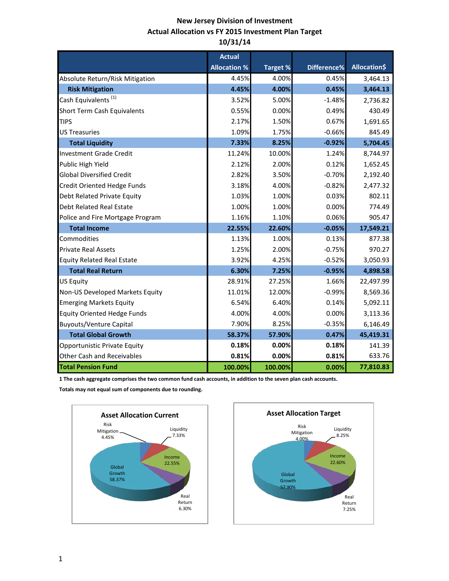### **New Jersey Division of Investment Actual Allocation vs FY 2015 Investment Plan Target 10/31/14**

|                                    | <b>Actual</b>       |                 |             |                     |
|------------------------------------|---------------------|-----------------|-------------|---------------------|
|                                    | <b>Allocation %</b> | <b>Target %</b> | Difference% | <b>Allocation\$</b> |
| Absolute Return/Risk Mitigation    | 4.45%               | 4.00%           | 0.45%       | 3,464.13            |
| <b>Risk Mitigation</b>             | 4.45%               | 4.00%           | 0.45%       | 3,464.13            |
| Cash Equivalents <sup>(1)</sup>    | 3.52%               | 5.00%           | $-1.48%$    | 2.736.82            |
| Short Term Cash Equivalents        | 0.55%               | 0.00%           | 0.49%       | 430.49              |
| <b>TIPS</b>                        | 2.17%               | 1.50%           | 0.67%       | 1,691.65            |
| <b>US Treasuries</b>               | 1.09%               | 1.75%           | $-0.66%$    | 845.49              |
| <b>Total Liquidity</b>             | 7.33%               | 8.25%           | $-0.92%$    | 5,704.45            |
| <b>Investment Grade Credit</b>     | 11.24%              | 10.00%          | 1.24%       | 8,744.97            |
| Public High Yield                  | 2.12%               | 2.00%           | 0.12%       | 1,652.45            |
| <b>Global Diversified Credit</b>   | 2.82%               | 3.50%           | $-0.70%$    | 2,192.40            |
| <b>Credit Oriented Hedge Funds</b> | 3.18%               | 4.00%           | $-0.82%$    | 2,477.32            |
| Debt Related Private Equity        | 1.03%               | 1.00%           | 0.03%       | 802.11              |
| <b>Debt Related Real Estate</b>    | 1.00%               | 1.00%           | 0.00%       | 774.49              |
| Police and Fire Mortgage Program   | 1.16%               | 1.10%           | 0.06%       | 905.47              |
| <b>Total Income</b>                | 22.55%              | 22.60%          | $-0.05%$    | 17,549.21           |
| Commodities                        | 1.13%               | 1.00%           | 0.13%       | 877.38              |
| <b>Private Real Assets</b>         | 1.25%               | 2.00%           | $-0.75%$    | 970.27              |
| <b>Equity Related Real Estate</b>  | 3.92%               | 4.25%           | $-0.52%$    | 3,050.93            |
| <b>Total Real Return</b>           | 6.30%               | 7.25%           | $-0.95%$    | 4,898.58            |
| <b>US Equity</b>                   | 28.91%              | 27.25%          | 1.66%       | 22,497.99           |
| Non-US Developed Markets Equity    | 11.01%              | 12.00%          | $-0.99%$    | 8,569.36            |
| <b>Emerging Markets Equity</b>     | 6.54%               | 6.40%           | 0.14%       | 5,092.11            |
| <b>Equity Oriented Hedge Funds</b> | 4.00%               | 4.00%           | 0.00%       | 3,113.36            |
| <b>Buyouts/Venture Capital</b>     | 7.90%               | 8.25%           | $-0.35%$    | 6,146.49            |
| <b>Total Global Growth</b>         | 58.37%              | 57.90%          | 0.47%       | 45,419.31           |
| Opportunistic Private Equity       | 0.18%               | 0.00%           | 0.18%       | 141.39              |
| <b>Other Cash and Receivables</b>  | 0.81%               | 0.00%           | 0.81%       | 633.76              |
| <b>Total Pension Fund</b>          | 100.00%             | 100.00%         | 0.00%       | 77,810.83           |

**1 The cash aggregate comprises the two common fund cash accounts, in addition to the seven plan cash accounts.** 

**Totals may not equal sum of components due to rounding.**



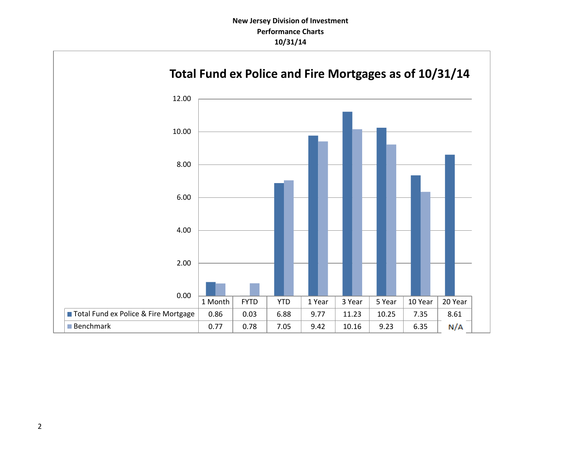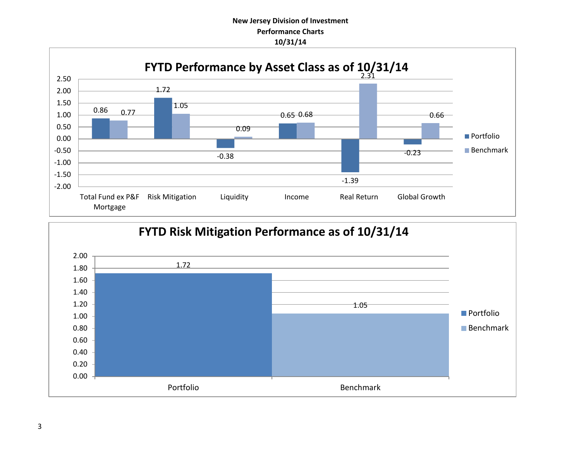### **New Jersey Division of Investment Performance Charts 10/31/14**



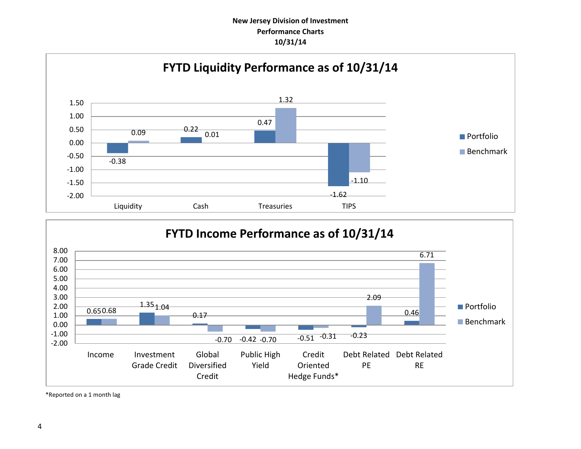### **New Jersey Division of Investment Performance Charts 10/31/14**





\*Reported on a 1 month lag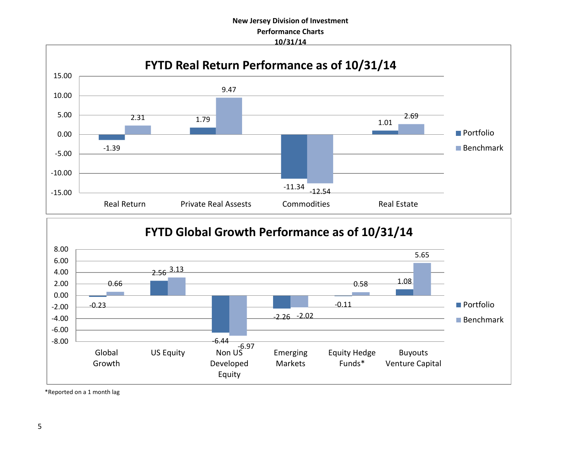### **New Jersey Division of Investment Performance Charts 10/31/14**



## **FYTD Global Growth Performance as of 10/31/14**



\*Reported on a 1 month lag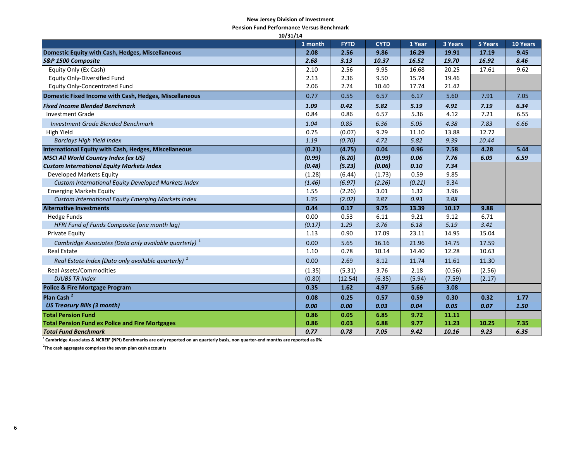#### **New Jersey Division of Investment**

**Pension Fund Performance Versus Benchmark**

| 10/31/14                                                       |         |             |             |        |         |         |          |  |
|----------------------------------------------------------------|---------|-------------|-------------|--------|---------|---------|----------|--|
|                                                                | 1 month | <b>FYTD</b> | <b>CYTD</b> | 1 Year | 3 Years | 5 Years | 10 Years |  |
| Domestic Equity with Cash, Hedges, Miscellaneous               | 2.08    | 2.56        | 9.86        | 16.29  | 19.91   | 17.19   | 9.45     |  |
| S&P 1500 Composite                                             | 2.68    | 3.13        | 10.37       | 16.52  | 19.70   | 16.92   | 8.46     |  |
| Equity Only (Ex Cash)                                          | 2.10    | 2.56        | 9.95        | 16.68  | 20.25   | 17.61   | 9.62     |  |
| <b>Equity Only-Diversified Fund</b>                            | 2.13    | 2.36        | 9.50        | 15.74  | 19.46   |         |          |  |
| <b>Equity Only-Concentrated Fund</b>                           | 2.06    | 2.74        | 10.40       | 17.74  | 21.42   |         |          |  |
| Domestic Fixed Income with Cash, Hedges, Miscellaneous         | 0.77    | 0.55        | 6.57        | 6.17   | 5.60    | 7.91    | 7.05     |  |
| <b>Fixed Income Blended Benchmark</b>                          | 1.09    | 0.42        | 5.82        | 5.19   | 4.91    | 7.19    | 6.34     |  |
| <b>Investment Grade</b>                                        | 0.84    | 0.86        | 6.57        | 5.36   | 4.12    | 7.21    | 6.55     |  |
| <b>Investment Grade Blended Benchmark</b>                      | 1.04    | 0.85        | 6.36        | 5.05   | 4.38    | 7.83    | 6.66     |  |
| High Yield                                                     | 0.75    | (0.07)      | 9.29        | 11.10  | 13.88   | 12.72   |          |  |
| <b>Barclays High Yield Index</b>                               | 1.19    | (0.70)      | 4.72        | 5.82   | 9.39    | 10.44   |          |  |
| International Equity with Cash, Hedges, Miscellaneous          | (0.21)  | (4.75)      | 0.04        | 0.96   | 7.58    | 4.28    | 5.44     |  |
| <b>MSCI All World Country Index (ex US)</b>                    | (0.99)  | (6.20)      | (0.99)      | 0.06   | 7.76    | 6.09    | 6.59     |  |
| <b>Custom International Equity Markets Index</b>               | (0.48)  | (5.23)      | (0.06)      | 0.10   | 7.34    |         |          |  |
| Developed Markets Equity                                       | (1.28)  | (6.44)      | (1.73)      | 0.59   | 9.85    |         |          |  |
| Custom International Equity Developed Markets Index            | (1.46)  | (6.97)      | (2.26)      | (0.21) | 9.34    |         |          |  |
| <b>Emerging Markets Equity</b>                                 | 1.55    | (2.26)      | 3.01        | 1.32   | 3.96    |         |          |  |
| <b>Custom International Equity Emerging Markets Index</b>      | 1.35    | (2.02)      | 3.87        | 0.93   | 3.88    |         |          |  |
| <b>Alternative Investments</b>                                 | 0.44    | 0.17        | 9.75        | 13.39  | 10.17   | 9.88    |          |  |
| <b>Hedge Funds</b>                                             | 0.00    | 0.53        | 6.11        | 9.21   | 9.12    | 6.71    |          |  |
| HFRI Fund of Funds Composite (one month lag)                   | (0.17)  | 1.29        | 3.76        | 6.18   | 5.19    | 3.41    |          |  |
| <b>Private Equity</b>                                          | 1.13    | 0.90        | 17.09       | 23.11  | 14.95   | 15.04   |          |  |
| Cambridge Associates (Data only available quarterly) $1$       | 0.00    | 5.65        | 16.16       | 21.96  | 14.75   | 17.59   |          |  |
| <b>Real Estate</b>                                             | 1.10    | 0.78        | 10.14       | 14.40  | 12.28   | 10.63   |          |  |
| Real Estate Index (Data only available quarterly) <sup>1</sup> | 0.00    | 2.69        | 8.12        | 11.74  | 11.61   | 11.30   |          |  |
| <b>Real Assets/Commodities</b>                                 | (1.35)  | (5.31)      | 3.76        | 2.18   | (0.56)  | (2.56)  |          |  |
| <b>DJUBS TR Index</b>                                          | (0.80)  | (12.54)     | (6.35)      | (5.94) | (7.59)  | (2.17)  |          |  |
| Police & Fire Mortgage Program                                 | 0.35    | 1.62        | 4.97        | 5.66   | 3.08    |         |          |  |
| Plan Cash <sup>2</sup>                                         | 0.08    | 0.25        | 0.57        | 0.59   | 0.30    | 0.32    | 1.77     |  |
| <b>US Treasury Bills (3 month)</b>                             | 0.00    | 0.00        | 0.03        | 0.04   | 0.05    | 0.07    | 1.50     |  |
| <b>Total Pension Fund</b>                                      | 0.86    | 0.05        | 6.85        | 9.72   | 11.11   |         |          |  |
| <b>Total Pension Fund ex Police and Fire Mortgages</b>         | 0.86    | 0.03        | 6.88        | 9.77   | 11.23   | 10.25   | 7.35     |  |
| <b>Total Fund Benchmark</b>                                    | 0.77    | 0.78        | 7.05        | 9.42   | 10.16   | 9.23    | 6.35     |  |

**1 Cambridge Associates & NCREIF (NPI) Benchmarks are only reported on an quarterly basis, non quarter-end months are reported as 0%**

**2 The cash aggregate comprises the seven plan cash accounts**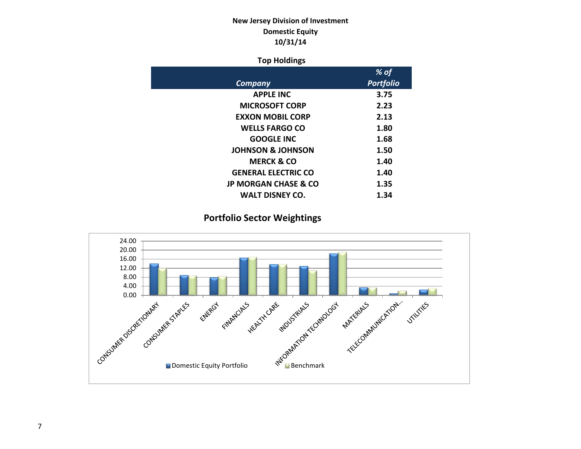### **New Jersey Division of Investment Domestic Equity 10/31/14**

### **Top Holdings**

|                                 | % of             |
|---------------------------------|------------------|
| Company                         | <b>Portfolio</b> |
| <b>APPLE INC</b>                | 3.75             |
| <b>MICROSOFT CORP</b>           | 2.23             |
| <b>EXXON MOBIL CORP</b>         | 2.13             |
| <b>WELLS FARGO CO</b>           | 1.80             |
| <b>GOOGLE INC</b>               | 1.68             |
| <b>JOHNSON &amp; JOHNSON</b>    | 1.50             |
| <b>MERCK &amp; CO</b>           | 1.40             |
| <b>GENERAL ELECTRIC CO</b>      | 1.40             |
| <b>JP MORGAN CHASE &amp; CO</b> | 1.35             |
| <b>WALT DISNEY CO.</b>          | 1.34             |

### **Portfolio Sector Weightings**

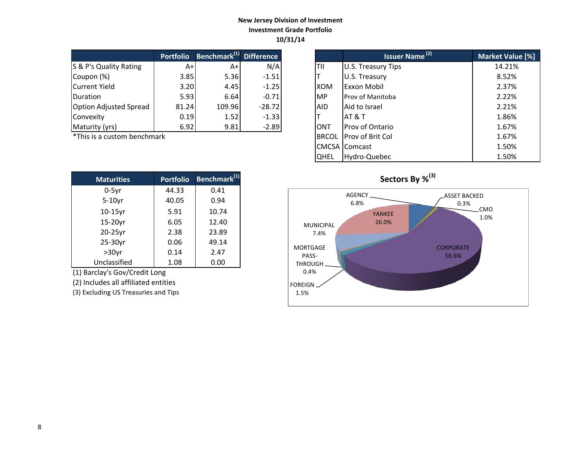### **New Jersey Division of Investment Investment Grade Portfolio 10/31/14**

|                               | <b>Portfolio</b> | Benchmark <sup>(1)</sup> Difference |          |            | Issuer Name <sup>(2)</sup> | <b>Market Valu</b> |
|-------------------------------|------------------|-------------------------------------|----------|------------|----------------------------|--------------------|
| S & P's Quality Rating        | A+               | A+                                  | N/A      | <b>TII</b> | U.S. Treasury Tips         | 14.21%             |
| Coupon (%)                    | 3.85             | 5.36                                | $-1.51$  |            | U.S. Treasury              | 8.52%              |
| Current Yield                 | 3.20             | 4.45                                | $-1.25$  | <b>XOM</b> | <b>Exxon Mobil</b>         | 2.37%              |
| <b>IDuration</b>              | 5.93             | 6.64                                | $-0.71$  | <b>MP</b>  | <b>Prov of Manitoba</b>    | 2.22%              |
| <b>Option Adjusted Spread</b> | 81.24            | 109.96                              | $-28.72$ | <b>AID</b> | Aid to Israel              | 2.21%              |
| Convexity                     | 0.19             | 1.52                                | $-1.33$  |            | IAT & T                    | 1.86%              |
| Maturity (yrs)                | 6.92             | 9.81                                | $-2.89$  | ONT        | Prov of Ontario            | 1.67%              |

 $*$ This is a custom benchmark

| <b>Maturities</b> | <b>Portfolio</b> | Benchmark <sup>(1)</sup> |
|-------------------|------------------|--------------------------|
| $0-5$ yr          | 44.33            | 0.41                     |
| $5-10$ yr         | 40.05            | 0.94                     |
| $10-15$ yr        | 5.91             | 10.74                    |
| 15-20yr           | 6.05             | 12.40                    |
| 20-25yr           | 2.38             | 23.89                    |
| 25-30yr           | 0.06             | 49.14                    |
| $>30$ yr          | 0.14             | 2.47                     |
| Unclassified      | 1.08             | 0.00                     |

(1) Barclay's Gov/Credit Long

(2) Includes all affiliated entities

(3) Excluding US Treasuries and Tips

| <b>Portfolio</b> | Benchmark <sup>(1)</sup> Difference |          |              | <b>Issuer Name<sup>(2)</sup></b> | Market Value [%] |
|------------------|-------------------------------------|----------|--------------|----------------------------------|------------------|
| $A+$             | $A+$                                | N/A      | TII          | U.S. Treasury Tips               | 14.21%           |
| 3.85             | 5.36                                | $-1.51$  |              | U.S. Treasury                    | 8.52%            |
| 3.20             | 4.45                                | $-1.25$  | <b>XOM</b>   | Exxon Mobil                      | 2.37%            |
| 5.93             | 6.64                                | $-0.71$  | <b>MP</b>    | Prov of Manitoba                 | 2.22%            |
| 81.24            | 109.96                              | $-28.72$ | AID.         | Aid to Israel                    | 2.21%            |
| 0.19             | 1.52                                | $-1.33$  |              | <b>AT &amp; T</b>                | 1.86%            |
| 6.92             | 9.81                                | $-2.89$  | <b>ONT</b>   | Prov of Ontario                  | 1.67%            |
| ۰k               |                                     |          | <b>BRCOL</b> | Prov of Brit Col                 | 1.67%            |
|                  |                                     |          |              | <b>CMCSA Comcast</b>             | 1.50%            |
|                  |                                     |          | <b>QHEL</b>  | Hydro-Quebec                     | 1.50%            |

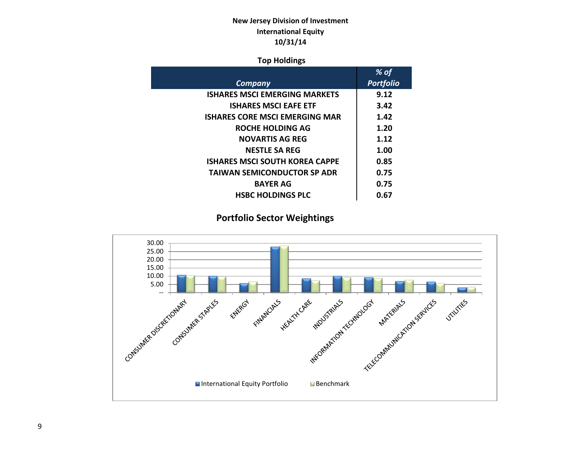### **New Jersey Division of Investment International Equity 10/31/14**

### **Top Holdings**

|                                       | % of             |
|---------------------------------------|------------------|
| <b>Company</b>                        | <b>Portfolio</b> |
| <b>ISHARES MSCI EMERGING MARKETS</b>  | 9.12             |
| <b>ISHARES MSCI EAFE ETF</b>          | 3.42             |
| <b>ISHARES CORE MSCI EMERGING MAR</b> | 1.42             |
| ROCHE HOLDING AG                      | 1.20             |
| <b>NOVARTIS AG REG</b>                | 1.12             |
| <b>NESTLE SA REG</b>                  | 1.00             |
| <b>ISHARES MSCI SOUTH KOREA CAPPE</b> | 0.85             |
| <b>TAIWAN SEMICONDUCTOR SP ADR</b>    | 0.75             |
| <b>BAYER AG</b>                       | 0.75             |
| <b>HSBC HOLDINGS PLC</b>              | 0.67             |

### **Portfolio Sector Weightings**

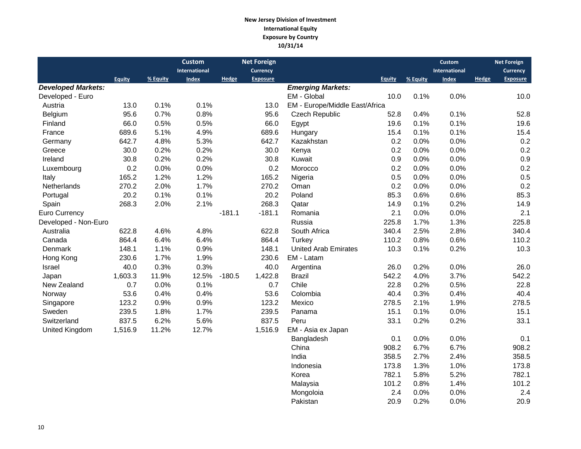#### **New Jersey Division of Investment International Equity Exposure by Country 10/31/14**

|                           |               |          | <b>Custom</b> |          | <b>Net Foreign</b> |                                |               |          | <b>Custom</b> |       | <b>Net Foreign</b> |
|---------------------------|---------------|----------|---------------|----------|--------------------|--------------------------------|---------------|----------|---------------|-------|--------------------|
|                           |               |          | International |          | <b>Currency</b>    |                                |               |          | International |       | <b>Currency</b>    |
|                           | <b>Equity</b> | % Equity | Index         | Hedge    | <b>Exposure</b>    |                                | <b>Equity</b> | % Equity | <b>Index</b>  | Hedge | <b>Exposure</b>    |
| <b>Developed Markets:</b> |               |          |               |          |                    | <b>Emerging Markets:</b>       |               |          |               |       |                    |
| Developed - Euro          |               |          |               |          |                    | EM - Global                    | 10.0          | 0.1%     | 0.0%          |       | 10.0               |
| Austria                   | 13.0          | 0.1%     | 0.1%          |          | 13.0               | EM - Europe/Middle East/Africa |               |          |               |       |                    |
| Belgium                   | 95.6          | 0.7%     | 0.8%          |          | 95.6               | <b>Czech Republic</b>          | 52.8          | 0.4%     | 0.1%          |       | 52.8               |
| Finland                   | 66.0          | 0.5%     | 0.5%          |          | 66.0               | Egypt                          | 19.6          | 0.1%     | 0.1%          |       | 19.6               |
| France                    | 689.6         | 5.1%     | 4.9%          |          | 689.6              | Hungary                        | 15.4          | 0.1%     | 0.1%          |       | 15.4               |
| Germany                   | 642.7         | 4.8%     | 5.3%          |          | 642.7              | Kazakhstan                     | 0.2           | 0.0%     | 0.0%          |       | 0.2                |
| Greece                    | 30.0          | 0.2%     | 0.2%          |          | 30.0               | Kenya                          | 0.2           | 0.0%     | 0.0%          |       | 0.2                |
| Ireland                   | 30.8          | 0.2%     | 0.2%          |          | 30.8               | Kuwait                         | 0.9           | 0.0%     | 0.0%          |       | 0.9                |
| Luxembourg                | 0.2           | 0.0%     | 0.0%          |          | 0.2                | Morocco                        | 0.2           | 0.0%     | 0.0%          |       | 0.2                |
| Italy                     | 165.2         | 1.2%     | 1.2%          |          | 165.2              | Nigeria                        | 0.5           | 0.0%     | 0.0%          |       | 0.5                |
| Netherlands               | 270.2         | 2.0%     | 1.7%          |          | 270.2              | Oman                           | 0.2           | 0.0%     | 0.0%          |       | 0.2                |
| Portugal                  | 20.2          | 0.1%     | 0.1%          |          | 20.2               | Poland                         | 85.3          | 0.6%     | 0.6%          |       | 85.3               |
| Spain                     | 268.3         | 2.0%     | 2.1%          |          | 268.3              | Qatar                          | 14.9          | 0.1%     | 0.2%          |       | 14.9               |
| Euro Currency             |               |          |               | $-181.1$ | $-181.1$           | Romania                        | 2.1           | 0.0%     | 0.0%          |       | 2.1                |
| Developed - Non-Euro      |               |          |               |          |                    | Russia                         | 225.8         | 1.7%     | 1.3%          |       | 225.8              |
| Australia                 | 622.8         | 4.6%     | 4.8%          |          | 622.8              | South Africa                   | 340.4         | 2.5%     | 2.8%          |       | 340.4              |
| Canada                    | 864.4         | 6.4%     | 6.4%          |          | 864.4              | Turkey                         | 110.2         | 0.8%     | 0.6%          |       | 110.2              |
| Denmark                   | 148.1         | 1.1%     | 0.9%          |          | 148.1              | <b>United Arab Emirates</b>    | 10.3          | 0.1%     | 0.2%          |       | 10.3               |
| Hong Kong                 | 230.6         | 1.7%     | 1.9%          |          | 230.6              | EM - Latam                     |               |          |               |       |                    |
| Israel                    | 40.0          | 0.3%     | 0.3%          |          | 40.0               | Argentina                      | 26.0          | 0.2%     | 0.0%          |       | 26.0               |
| Japan                     | 1,603.3       | 11.9%    | 12.5%         | $-180.5$ | 1,422.8            | <b>Brazil</b>                  | 542.2         | 4.0%     | 3.7%          |       | 542.2              |
| New Zealand               | 0.7           | 0.0%     | 0.1%          |          | 0.7                | Chile                          | 22.8          | 0.2%     | 0.5%          |       | 22.8               |
| Norway                    | 53.6          | 0.4%     | 0.4%          |          | 53.6               | Colombia                       | 40.4          | 0.3%     | 0.4%          |       | 40.4               |
| Singapore                 | 123.2         | 0.9%     | 0.9%          |          | 123.2              | Mexico                         | 278.5         | 2.1%     | 1.9%          |       | 278.5              |
| Sweden                    | 239.5         | 1.8%     | 1.7%          |          | 239.5              | Panama                         | 15.1          | 0.1%     | 0.0%          |       | 15.1               |
| Switzerland               | 837.5         | 6.2%     | 5.6%          |          | 837.5              | Peru                           | 33.1          | 0.2%     | 0.2%          |       | 33.1               |
| United Kingdom            | 1,516.9       | 11.2%    | 12.7%         |          | 1,516.9            | EM - Asia ex Japan             |               |          |               |       |                    |
|                           |               |          |               |          |                    | Bangladesh                     | 0.1           | 0.0%     | 0.0%          |       | 0.1                |
|                           |               |          |               |          |                    | China                          | 908.2         | 6.7%     | 6.7%          |       | 908.2              |
|                           |               |          |               |          |                    | India                          | 358.5         | 2.7%     | 2.4%          |       | 358.5              |
|                           |               |          |               |          |                    | Indonesia                      | 173.8         | 1.3%     | 1.0%          |       | 173.8              |
|                           |               |          |               |          |                    | Korea                          | 782.1         | 5.8%     | 5.2%          |       | 782.1              |
|                           |               |          |               |          |                    | Malaysia                       | 101.2         | 0.8%     | 1.4%          |       | 101.2              |
|                           |               |          |               |          |                    | Mongoloia                      | 2.4           | 0.0%     | 0.0%          |       | 2.4                |

Pakistan 20.9 0.2% 0.0% 20.9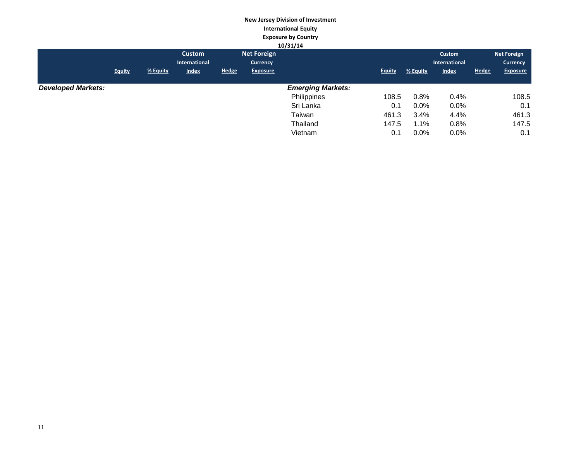### **New Jersey Division of Investment International Equity Exposure by Country**

|               |          | <b>Custom</b> |              |                 |                          |               |          | Custom        |                                 | Net Foreign     |
|---------------|----------|---------------|--------------|-----------------|--------------------------|---------------|----------|---------------|---------------------------------|-----------------|
|               |          | International |              | <b>Currency</b> |                          |               |          | International |                                 | <b>Currency</b> |
| <b>Equity</b> | % Equity | <b>Index</b>  | <b>Hedge</b> | <b>Exposure</b> |                          | <b>Equity</b> | % Equity | <b>Index</b>  | <b>Hedge</b>                    | <b>Exposure</b> |
|               |          |               |              |                 |                          |               |          |               |                                 |                 |
|               |          |               |              |                 | <b>Emerging Markets:</b> |               |          |               |                                 |                 |
|               |          |               |              |                 | Philippines              | 108.5         |          | 0.4%          |                                 | 108.5           |
|               |          |               |              |                 | Sri Lanka                | 0.1           |          | $0.0\%$       |                                 | 0.1             |
|               |          |               |              |                 | Taiwan                   | 461.3         |          | 4.4%          |                                 | 461.3           |
|               |          |               |              |                 | Thailand                 | 147.5         |          | 0.8%          |                                 | 147.5           |
|               |          |               |              |                 | Vietnam                  | 0.1           | $0.0\%$  | $0.0\%$       |                                 | 0.1             |
|               |          |               |              |                 | <b>Net Foreign</b>       | 10/31/14      |          |               | 0.8%<br>$0.0\%$<br>3.4%<br>1.1% |                 |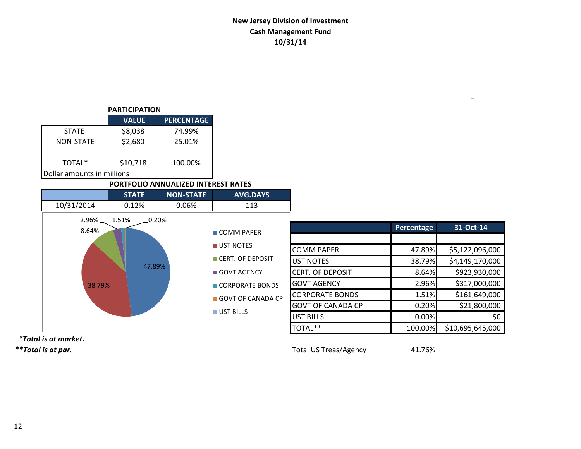### **New Jersey Division of Investment Cash Management Fund 10/31/14**

| <b>PARTICIPATION</b>       |              |                   |  |  |  |  |  |  |
|----------------------------|--------------|-------------------|--|--|--|--|--|--|
|                            | <b>VALUE</b> | <b>PERCENTAGE</b> |  |  |  |  |  |  |
| <b>STATE</b>               | \$8,038      | 74.99%            |  |  |  |  |  |  |
| NON-STATE                  | \$2,680      | 25.01%            |  |  |  |  |  |  |
| TOTAL*                     | \$10,718     | 100.00%           |  |  |  |  |  |  |
| Dollar amounts in millions |              |                   |  |  |  |  |  |  |

### **PORTFOLIO ANNUALIZED INTEREST RATES**

|              | <b>STATE</b>       | <b>NON-STATE</b>        | <b>AVG.DAYS</b>   |                          |            |                  |
|--------------|--------------------|-------------------------|-------------------|--------------------------|------------|------------------|
| 10/31/2014   | 0.12%              | 0.06%                   | 113               |                          |            |                  |
| $2.96\%$ $-$ | $.0.20\%$<br>1.51% |                         |                   |                          | Percentage | 31-Oct-14        |
| 8.64%        |                    |                         | COMM PAPER        |                          |            |                  |
|              |                    |                         | UST NOTES         | <b>COMM PAPER</b>        | 47.89%     | \$5,122,096,000  |
|              |                    |                         | CERT. OF DEPOSIT  | <b>UST NOTES</b>         | 38.79%     | \$4,149,170,000  |
|              |                    | 47.89%<br>■ GOVT AGENCY |                   | <b>CERT. OF DEPOSIT</b>  | 8.64%      | \$923,930,000    |
| 38.79%       |                    |                         | CORPORATE BONDS   | <b>GOVT AGENCY</b>       | 2.96%      | \$317,000,000    |
|              |                    |                         | GOVT OF CANADA CP | <b>CORPORATE BONDS</b>   | 1.51%      | \$161,649,000    |
|              |                    |                         |                   | <b>GOVT OF CANADA CP</b> | 0.20%      | \$21,800,000     |
|              |                    |                         | UST BILLS         | <b>UST BILLS</b>         | 0.00%      | \$0              |
|              |                    |                         |                   | TOTAL**                  | 100.00%    | \$10,695,645,000 |

 *\*Total is at market.*

*\*\*Total is at par.* Total US Treas/Agency 41.76%

 $\Box$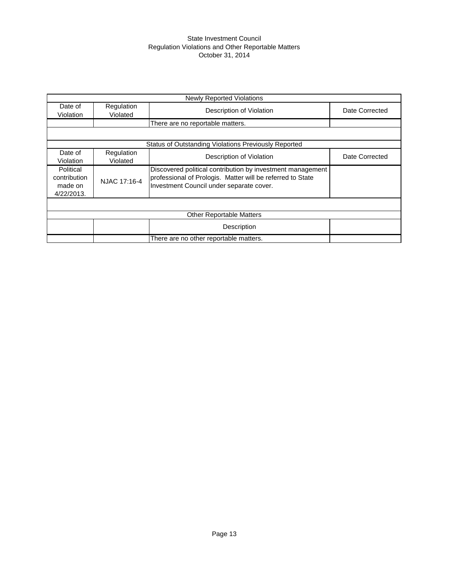#### State Investment Council Regulation Violations and Other Reportable Matters October 31, 2014

|                                                    |                                                      | <b>Newly Reported Violations</b>                                                                                                                                     |                |  |  |  |  |  |  |
|----------------------------------------------------|------------------------------------------------------|----------------------------------------------------------------------------------------------------------------------------------------------------------------------|----------------|--|--|--|--|--|--|
| Date of<br>Violation                               | Regulation<br>Violated                               | Description of Violation                                                                                                                                             | Date Corrected |  |  |  |  |  |  |
|                                                    | There are no reportable matters.                     |                                                                                                                                                                      |                |  |  |  |  |  |  |
|                                                    |                                                      |                                                                                                                                                                      |                |  |  |  |  |  |  |
|                                                    | Status of Outstanding Violations Previously Reported |                                                                                                                                                                      |                |  |  |  |  |  |  |
| Date of<br>Violation                               | Regulation<br>Violated                               | Description of Violation                                                                                                                                             | Date Corrected |  |  |  |  |  |  |
| Political<br>contribution<br>made on<br>4/22/2013. | NJAC 17:16-4                                         | Discovered political contribution by investment management<br>professional of Prologis. Matter will be referred to State<br>Investment Council under separate cover. |                |  |  |  |  |  |  |
|                                                    |                                                      |                                                                                                                                                                      |                |  |  |  |  |  |  |
|                                                    |                                                      | <b>Other Reportable Matters</b>                                                                                                                                      |                |  |  |  |  |  |  |
|                                                    |                                                      | Description                                                                                                                                                          |                |  |  |  |  |  |  |
|                                                    |                                                      | There are no other reportable matters.                                                                                                                               |                |  |  |  |  |  |  |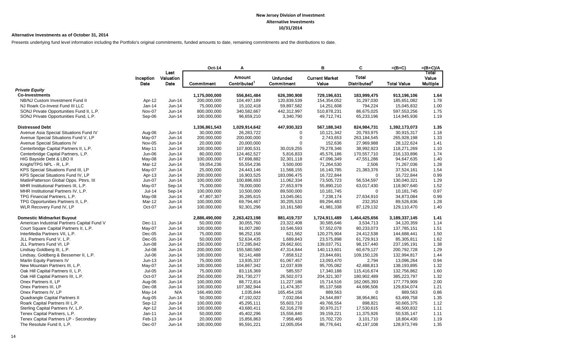#### **Alternative Investments as of October 31, 2014**

Presents underlying fund level information including the Portfolio's original commitments, funded amounts to date, remaining commitments and the distributions to date.

|                                             |                   |                           | Oct-14            | A                                  |                               | B                              | C                                        | $=(B+C)$           | $=(B+C)/A$                        |
|---------------------------------------------|-------------------|---------------------------|-------------------|------------------------------------|-------------------------------|--------------------------------|------------------------------------------|--------------------|-----------------------------------|
|                                             | Inception<br>Date | Last<br>Valuation<br>Date | <b>Commitment</b> | Amount<br>Contributed <sup>1</sup> | <b>Unfunded</b><br>Commitment | <b>Current Market</b><br>Value | <b>Total</b><br>Distributed <sup>2</sup> | <b>Total Value</b> | Total<br>Value<br><b>Multiple</b> |
| <b>Private Equity</b>                       |                   |                           |                   |                                    |                               |                                |                                          |                    |                                   |
| <b>Co-Investments</b>                       |                   |                           | 1,175,000,000     | 556,841,484                        | 626,390,908                   | 729,196,631                    | 183,999,475                              | 913,196,106        | 1.64                              |
| NB/NJ Custom Investment Fund II             | Apr-12            | Jun-14                    | 200,000,000       | 104,497,189                        | 120,839,539                   | 154,354,052                    | 31,297,030                               | 185,651,082        | 1.78                              |
| NJ Roark Co-Invest Fund III LLC             | Jan-14            | Jun-14                    | 75,000,000        | 15,102,418                         | 59,897,582                    | 14,251,608                     | 794,224                                  | 15,045,832         | 1.00                              |
| SONJ Private Opportunities Fund II, L.P.    | Nov-07            | Jun-14                    | 800,000,000       | 340,582,667                        | 442,312,997                   | 510,878,231                    | 86,675,025                               | 597,553,256        | 1.75                              |
| SONJ Private Opportunities Fund, L.P.       | Sep-06            | Jun-14                    | 100,000,000       | 96,659,210                         | 3,340,790                     | 49,712,741                     | 65,233,196                               | 114,945,936        | 1.19                              |
| <b>Distressed Debt</b>                      |                   |                           | 1,336,861,543     | 1,029,914,642                      | 447,930,323                   | 567,188,343                    | 824,984,731                              | 1,392,173,073      | 1.35                              |
| Avenue Asia Special Situations Fund IV      | Aug-06            | Jun-14                    | 30,000,000        | 26,283,722                         | $\Omega$                      | 10,121,342                     | 20,793,975                               | 30,915,317         | 1.18                              |
| Avenue Special Situations Fund V, LP        | May-07            | Jun-14                    | 200,000,000       | 200,000,000                        | $\mathbf 0$                   | 2,743,653                      | 263,184,545                              | 265,928,198        | 1.33                              |
| Avenue Special Situations IV                | Nov-05            | Jun-14                    | 20,000,000        | 20,000,000                         | $\Omega$                      | 152,636                        | 27,969,988                               | 28,122,624         | 1.41                              |
| Centerbridge Capital Partners II, L.P.      | $May-11$          | Jun-14                    | 100,000,000       | 107,800,531                        | 30,019,255                    | 79,278,346                     | 38,992,923                               | 118,271,269        | 1.10                              |
| Centerbridge Capital Partners, L.P.         | Jun-06            | Jun-14                    | 80,000,000        | 124,462,527                        | 5,816,833                     | 45,576,186                     | 170,557,710                              | 216,133,896        | 1.74                              |
| HIG Bayside Debt & LBO II                   | May-08            | Jun-14                    | 100,000,000       | 67,698,882                         | 32,301,118                    | 47,096,349                     | 47,551,286                               | 94,647,635         | 1.40                              |
| Knight/TPG NPL - R, L.P.                    | Mar-12            | Jun-14                    | 59,054,236        | 55,554,236                         | 3,500,000                     | 71,264,530                     | 2,506                                    | 71,267,036         | 1.28                              |
| KPS Special Situations Fund III, LP         | May-07            | Jun-14                    | 25,000,000        | 24,443,146                         | 11,568,155                    | 16,140,785                     | 21,383,376                               | 37,524,161         | 1.54                              |
| KPS Special Situations Fund IV, LP          | Apr-13            | Jun-14                    | 200,000,000       | 16,903,525                         | 183,096,475                   | 16,722,844                     | $\mathbf 0$                              | 16,722,844         | 0.99                              |
| MatlinPatterson Global Opps. Ptnrs. III     | Jun-07            | Jun-14                    | 100,000,000       | 100,886,693                        | 11,062,334                    | 73,505,723                     | 56,534,597                               | 130,040,321        | 1.29                              |
| MHR Institutional Partners III, L.P.        | May-07            | Sep-14                    | 75.000.000        | 78.000.000                         | 27.653.979                    | 55.890.210                     | 63,017,430                               | 118,907,640        | 1.52                              |
| MHR Institutional Partners IV, L.P.         | Jul-14            | Sep-14                    | 100,000,000       | 10,500,000                         | 89,500,000                    | 10,181,745                     | $\mathbf 0$                              | 10,181,745         | 0.97                              |
| TPG Financial Partners, L.P.                | May-08            | Jun-14                    | 47,807,307        | 35,285,615                         | 13,045,061                    | 7,238,174                      | 27,634,910                               | 34,873,084         | 0.99                              |
| TPG Opportunities Partners II, L.P.         | Mar-12            | Jun-14                    | 100,000,000       | 69,794,467                         | 30,205,533                    | 89,294,483                     | 232,353                                  | 89,526,836         | 1.28                              |
| WLR Recovery Fund IV, LP                    | Oct-07            | Jun-14                    | 100,000,000       | 92,301,296                         | 10,161,580                    | 41,981,338                     | 87,129,132                               | 129,110,470        | 1.40                              |
| <b>Domestic Midmarket Buyout</b>            |                   |                           | 2,886,490,000     | 2,263,423,198                      | 881,419,737                   | 1,724,911,489                  | 1,464,425,656                            | 3,189,337,145      | 1.41                              |
| American Industrial Partners Capital Fund V | Dec-11            | Jun-14                    | 50,000,000        | 30,055,760                         | 23,322,408                    | 30,585,646                     | 3,534,713                                | 34,120,359         | 1.14                              |
| Court Square Capital Partners II, L.P.      | May-07            | Jun-14                    | 100,000,000       | 91,007,280                         | 10,546,593                    | 57,552,078                     | 80,233,073                               | 137,785,151        | 1.51                              |
| InterMedia Partners VII, L.P.               | $Dec-05$          | Jun-14                    | 75,000,000        | 96,252,158                         | 621,562                       | 120,275,904                    | 24,412,538                               | 144,688,441        | 1.50                              |
| JLL Partners Fund V, L.P.                   | $Dec-05$          | $Jun-14$                  | 50,000,000        | 52,634,435                         | 1,689,843                     | 23,575,898                     | 61,729,913                               | 85,305,811         | 1.62                              |
| JLL Partners Fund VI, LP                    | Jun-08            | Jun-14                    | 150,000,000       | 172,285,842                        | 29,662,601                    | 139,037,751                    | 98,157,440                               | 237, 195, 191      | 1.38                              |
| Lindsay Goldberg III, L.P.                  | <b>Jul-08</b>     | Jun-14                    | 200,000,000       | 155,580,580                        | 47,314,844                    | 140,113,601                    | 60,679,127                               | 200,792,728        | 1.29                              |
| Lindsay, Goldberg & Bessemer II, L.P.       | Jul-06            | Jun-14                    | 100,000,000       | 92,141,488                         | 7,858,512                     | 23,844,691                     | 109,150,126                              | 132,994,817        | 1.44                              |
| Marlin Equity Partners IV                   | $Jun-13$          | Jun-14                    | 75,000,000        | 13,935,337                         | 61,067,457                    | 13,093,470                     | 2,794                                    | 13,096,264         | 0.94                              |
| New Mountain Partners III, L.P.             | May-07            | Jun-14                    | 100,000,000       | 104,867,342                        | 12,037,939                    | 95,705,082                     | 42,488,813                               | 138,193,895        | 1.32                              |
| Oak Hill Capital Partners II, L.P.          | <b>Jul-05</b>     | Jun-14                    | 75,000,000        | 83,116,369                         | 585,557                       | 17,340,188                     | 115,416,674                              | 132,756,862        | 1.60                              |
| Oak Hill Capital Partners III, L.P.         | Oct-07            | Jun-14                    | 250,000,000       | 291,730,277                        | 26,502,073                    | 204,321,307                    | 180,902,489                              | 385,223,797        | 1.32                              |
| Onex Partners II, LP                        | Aug-06            | Jun-14                    | 100,000,000       | 88,772,814                         | 11,227,186                    | 15,714,516                     | 162,065,393                              | 177,779,909        | 2.00                              |
| Onex Partners III, LP                       | Dec-08            | Jun-14                    | 100,000,000       | 107,382,944                        | 11,474,357                    | 85,137,568                     | 44,696,506                               | 129,834,074        | 1.21                              |
| Onex Partners IV, LP                        | May-14            | N/A                       | 166,490,000       | 1,035,844                          | 165,454,156                   | 889,563                        | 0                                        | 889,563            | 0.86                              |
| Quadrangle Capital Partners II              | Aug-05            | Jun-14                    | 50,000,000        | 47,192,022                         | 7,032,064                     | 24,544,897                     | 38,954,861                               | 63,499,758         | 1.35                              |
| Roark Capital Partners III L.P.             | Sep-12            | $Jun-14$                  | 100,000,000       | 45,295,111                         | 55,603,710                    | 49,766,554                     | 898,821                                  | 50,665,375         | 1.12                              |
| Sterling Capital Partners IV, L.P.          | Apr-12            | $Jun-14$                  | 100,000,000       | 43,680,411                         | 62,316,278                    | 30,970,217                     | 17,530,615                               | 48,500,832         | 1.11                              |
| Tenex Capital Partners, L.P.                | Jan-11            | Jun-14                    | 50,000,000        | 45,402,296                         | 15,556,840                    | 39,159,221                     | 11,375,926                               | 50,535,147         | 1.11                              |
| Tenex Capital Partners LP - Secondary       | Feb-13            | Jun-14                    | 20,000,000        | 15,856,863                         | 7,958,465                     | 15,702,720                     | 3,101,710                                | 18,804,430         | 1.19                              |
| The Resolute Fund II, L.P.                  | Dec-07            | Jun-14                    | 100,000,000       | 95,591,221                         | 12,005,054                    | 86,776,641                     | 42,197,108                               | 128,973,749        | 1.35                              |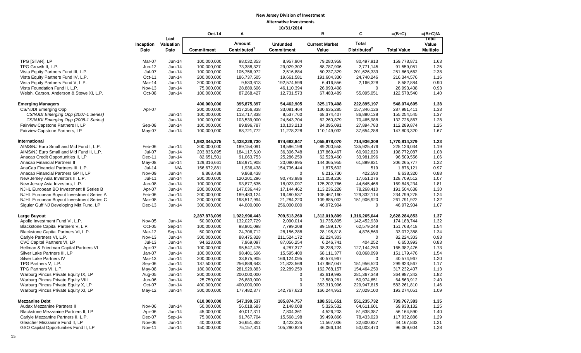| Amount<br><b>Total</b><br><b>Current Market</b><br>Value<br>Inception<br>Valuation<br><b>Unfunded</b><br>Distributed <sup>2</sup><br>Contributed <sup>1</sup><br>Date<br>Commitment<br>Value<br><b>Multiple</b><br>Date<br><b>Total Value</b><br>Commitment<br>1.63<br>TPG [STAR], LP<br>Mar-07<br>Jun-14<br>100,000,000<br>98,032,353<br>8,957,904<br>79,280,958<br>80,497,913<br>159,778,871<br>TPG Growth II, L.P.<br>Jun-12<br>Jun-14<br>100,000,000<br>73,388,327<br>29,029,302<br>88,787,906<br>91,559,051<br>1.25<br>2,771,145<br>Jul-07<br>2.38<br>Vista Equity Partners Fund III, L.P.<br>Jun-14<br>100,000,000<br>105,756,972<br>2,516,884<br>50,237,329<br>201,626,333<br>251,863,662<br>Vista Equity Partners Fund IV, L.P.<br>Oct-11<br>200,000,000<br>186,737,505<br>19,661,581<br>191,604,330<br>24,740,246<br>216,344,576<br>1.16<br>Jun-14<br>Vista Equity Partners Fund V, L.P.<br>Mar-14<br>$Jun-14$<br>200.000.000<br>9,533,613<br>8,582,884<br>0.90<br>192.574.599<br>6,416,556<br>2,166,328<br>0.93<br>Vista Foundation Fund II, L.P.<br><b>Nov-13</b><br>75,000,000<br>28,889,606<br>46,110,394<br>26,993,408<br>26,993,408<br>Jun-14<br>$\mathbf 0$<br>Welsh, Carson, Anderson & Stowe XI, L.P.<br>Oct-08<br>Jun-14<br>100,000,000<br>87,268,427<br>12,731,573<br>67,483,489<br>55,095,051<br>122,578,540<br>1.40<br>1.38<br><b>Emerging Managers</b><br>400.000.000<br>395,875,397<br>54,462,905<br>325.179.408<br>222,895,197<br>548,074,605<br>Apr-07<br>200,000,000<br>1.33<br>CS/NJDI Emerging Opp<br>217,256,838<br>33,081,464<br>130,635,285<br>157,346,126<br>287,981,411<br>1.37<br>CS/NJDI Emerging Opp (2007-1 Series)<br>Jun-14<br>100,000,000<br>113,717,838<br>8,537,760<br>68,374,407<br>86,880,138<br>155,254,545<br>CS/NJDI Emerging Opp (2008-1 Series)<br>100,000,000<br>103,539,000<br>24,543,704<br>62,260,879<br>70,465,988<br>132,726,867<br>1.28<br>Jun-14<br>Fairview Capstone Partners II, LP<br>Sep-08<br>Jun-14<br>100,000,000<br>89,896,787<br>10,103,213<br>84,395,091<br>27,894,783<br>112,289,874<br>1.25<br>Fairview Capstone Partners, LP<br>1.67<br>May-07<br>Jun-14<br>100,000,000<br>88,721,772<br>11,278,228<br>110,149,032<br>37,654,288<br>147,803,320<br>International<br>674,682,847<br>1.23<br>1,982,345,375<br>1,438,228,730<br>1,055,878,070<br>714,936,309<br>1,770,814,379<br>AIMS/NJ Euro Small and Mid Fund I, L.P.<br>Feb-06<br>$Jun-14$<br>200,000,000<br>18,596,199<br>135,925,476<br>1.19<br>189,154,091<br>89,200,558<br>225,126,034<br>AIMS/NJ Euro Small and Mid Fund II, L.P.<br>Jul-07<br>203,835,895<br>36,306,748<br>60,902,620<br>1.08<br>Jun-14<br>184,117,610<br>137,869,467<br>198,772,087<br>Anacap Credit Opportunities II, LP<br>Dec-11<br>25,286,259<br>Jun-14<br>82,651,501<br>91,063,753<br>62,528,460<br>33,981,096<br>96,509,556<br>1.06<br>Anacap Financial Partners II<br>206, 265, 777<br>1.22<br>May-08<br>$Jun-14$<br>129,316,661<br>168,971,908<br>20,080,895<br>144,365,955<br>61,899,821<br>0.97<br>AnaCap Financial Partners III, L.P.<br><b>Jul-14</b><br>N/A<br>156,672,881<br>1,936,438<br>154,736,444<br>1,875,602<br>519<br>1,876,121<br>Anacap Financial Partners GP II, LP<br>Nov-09<br>Jun-14<br>9,868,438<br>9,868,438<br>8,215,730<br>422,590<br>8,638,320<br>0.88<br>$\mathbf 0$<br>New Jersey Asia Investors II, L.P.<br>$Jul-11$<br>200,000,000<br>120,201,296<br>90,743,986<br>111,058,236<br>128,709,512<br>1.07<br>$Jun-14$<br>17,651,276<br>New Jersey Asia Investors, L.P.<br>Jan-08<br>Jun-14<br>100,000,000<br>93,877,635<br>18,023,097<br>125,202,766<br>44,645,468<br>169,848,234<br>1.81<br>1.30<br>NJHL European BO Investment II Series B<br>Apr-07<br>200,000,000<br>147,036,443<br>17,144,462<br>113,236,228<br>78,268,410<br>191,504,638<br>Jun-14<br>NJHL European Buyout Investment Series A<br>Feb-06<br>200,000,000<br>189,483,124<br>16,480,537<br>129,332,114<br>234,799,275<br>1.24<br>$Jun-14$<br>105,467,160<br>NJHL European Buyout Investment Series C<br>Mar-08<br>Jun-14<br>200,000,000<br>198,517,994<br>21,284,220<br>109,885,002<br>151,906,920<br>261,791,922<br>1.32<br>Siguler Guff NJ Developing Mkt Fund, LP<br>300,000,000<br>46,972,904<br>1.07<br>Dec-13<br>Jun-14<br>44,000,000<br>256,000,000<br>46,972,904<br>$\Omega$<br>Large Buyout<br>1.37<br>2,287,873,009<br>1,922,990,443<br>709,513,260<br>1,312,019,809<br>1,316,265,044<br>2,628,284,853<br>50,000,000<br>2,090,014<br>1.32<br>Apollo Investment Fund VI, L.P.<br>Nov-05<br>Jun-14<br>132,027,729<br>31,735,805<br>142,452,939<br>174,188,744<br>Blackstone Capital Partners V, L.P.<br>Oct-05<br>100,000,000<br>1.54<br>Sep-14<br>98,801,098<br>7,799,208<br>89,189,170<br>62,579,248<br>151,768,418<br>Blackstone Capital Partners VI, L.P.<br>Mar-12<br>Sep-14<br>50,000,000<br>28,156,288<br>4,876,569<br>33,072,388<br>1.34<br>24,706,712<br>28,195,818<br>Carlyle Partners VI, L.P.<br>0.93<br><b>Nov-13</b><br>Jun-14<br>300,000,000<br>88,475,828<br>211,524,172<br>82,224,303<br>82,224,303<br>$\Omega$<br>CVC Capital Partners VI, LP<br>$Jul-13$<br>$Jun-14$<br>94,623,009<br>7,969,097<br>87,056,254<br>6,246,741<br>404,252<br>6,650,993<br>0.83<br>1.73<br>Hellman & Friedman Capital Partners VI<br>Apr-07<br>Jun-14<br>100,000,000<br>95,547,475<br>4,287,377<br>38,238,223<br>127, 144, 253<br>165,382,476<br>Silver Lake Partners III, LP<br>Jan-07<br>100,000,000<br>98,401,696<br>15,595,400<br>68,111,377<br>83,068,099<br>151,179,476<br>1.54<br>Jun-14<br>Silver Lake Partners IV<br>$Mar-13$<br>Jun-14<br>1.20<br>200,000,000<br>33,875,905<br>166,124,095<br>40,574,967<br>$\Omega$<br>40,574,967<br>TPG Partners V, L.P.<br>Sep-06<br>187,500,000<br>256,889,643<br>21,823,569<br>299,923,567<br>1.17<br>Jun-14<br>147,967,047<br>151,956,520<br>180,000,000<br>281,929,883<br>22,289,259<br>317,232,407<br>1.13<br>TPG Partners VI, L.P.<br>May-08<br>$Jun-14$<br>162,768,157<br>154,464,250<br>Warburg Pincus Private Equity IX, LP<br>Aug-05<br>Jun-14<br>200,000,000<br>$\mathbf 0$<br>83,619,993<br>364,987,342<br>1.82<br>200,000,000<br>281,367,348<br>$\pmb{0}$<br>2.40<br>Warburg Pincus Private Equity VIII<br>Jun-06<br>Jun-14<br>25,750,000<br>26,883,000<br>13,589,261<br>50,974,651<br>64,563,912<br>Warburg Pincus Private Equity X, LP<br>Oct-07<br>400,000,000<br>400,000,000<br>$\Omega$<br>353,313,996<br>229,947,815<br>583,261,810<br>1.46<br>Jun-14<br>Warburg Pincus Private Equity XI, LP<br>$May-12$<br>Jun-14<br>300,000,000<br>177,482,377<br>142,767,623<br>166,244,951<br>27,029,100<br>193,274,051<br>1.09<br><b>Mezzanine Debt</b><br>610,000,000<br>551,235,732<br>739,767,383<br>1.35<br>547,399,537<br>185,874,757<br>188,531,651<br>Audax Mezzanine Partners II<br>Nov-06<br>Jun-14<br>50,000,000<br>2,148,008<br>5,326,532<br>69,938,132<br>1.25<br>56,018,683<br>64,611,601<br>Blackstone Mezzanine Partners II, LP<br>Apr-06<br>$Jun-14$<br>45,000,000<br>40,017,311<br>7,804,361<br>4,526,203<br>51,638,387<br>56,164,590<br>1.40<br>Carlyle Mezzanine Partners II, L.P.<br>Dec-07<br>Sep-14<br>75,000,000<br>15,568,198<br>39,499,866<br>78,433,020<br>117,932,886<br>1.29<br>91,767,704<br>Gleacher Mezzanine Fund II, LP<br>Nov-06<br>Jun-14<br>40,000,000<br>36,651,862<br>3,423,225<br>11,567,006<br>32,600,827<br>44, 167, 833<br>1.21<br>GSO Capital Opportunities Fund II, LP<br>150,000,000<br>105,290,824<br>96,069,604<br>1.28<br><b>Nov-11</b><br>Jun-14<br>75, 157, 811<br>46,066,134<br>50,003,470 |  |      | <b>Oct-14</b> | A | в | C | $=(B+C)$ | $=(B+C)/A$ |
|-------------------------------------------------------------------------------------------------------------------------------------------------------------------------------------------------------------------------------------------------------------------------------------------------------------------------------------------------------------------------------------------------------------------------------------------------------------------------------------------------------------------------------------------------------------------------------------------------------------------------------------------------------------------------------------------------------------------------------------------------------------------------------------------------------------------------------------------------------------------------------------------------------------------------------------------------------------------------------------------------------------------------------------------------------------------------------------------------------------------------------------------------------------------------------------------------------------------------------------------------------------------------------------------------------------------------------------------------------------------------------------------------------------------------------------------------------------------------------------------------------------------------------------------------------------------------------------------------------------------------------------------------------------------------------------------------------------------------------------------------------------------------------------------------------------------------------------------------------------------------------------------------------------------------------------------------------------------------------------------------------------------------------------------------------------------------------------------------------------------------------------------------------------------------------------------------------------------------------------------------------------------------------------------------------------------------------------------------------------------------------------------------------------------------------------------------------------------------------------------------------------------------------------------------------------------------------------------------------------------------------------------------------------------------------------------------------------------------------------------------------------------------------------------------------------------------------------------------------------------------------------------------------------------------------------------------------------------------------------------------------------------------------------------------------------------------------------------------------------------------------------------------------------------------------------------------------------------------------------------------------------------------------------------------------------------------------------------------------------------------------------------------------------------------------------------------------------------------------------------------------------------------------------------------------------------------------------------------------------------------------------------------------------------------------------------------------------------------------------------------------------------------------------------------------------------------------------------------------------------------------------------------------------------------------------------------------------------------------------------------------------------------------------------------------------------------------------------------------------------------------------------------------------------------------------------------------------------------------------------------------------------------------------------------------------------------------------------------------------------------------------------------------------------------------------------------------------------------------------------------------------------------------------------------------------------------------------------------------------------------------------------------------------------------------------------------------------------------------------------------------------------------------------------------------------------------------------------------------------------------------------------------------------------------------------------------------------------------------------------------------------------------------------------------------------------------------------------------------------------------------------------------------------------------------------------------------------------------------------------------------------------------------------------------------------------------------------------------------------------------------------------------------------------------------------------------------------------------------------------------------------------------------------------------------------------------------------------------------------------------------------------------------------------------------------------------------------------------------------------------------------------------------------------------------------------------------------------------------------------------------------------------------------------------------------------------------------------------------------------------------------------------------------------------------------------------------------------------------------------------------------------------------------------------------------------------------------------------------------------------------------------------------------------------------------------------------------------------------------------------------------------------------------------------------------------------------------------------------------------------------------------------------------------------------------------------------------------------------------------------------------------------------------------------------------------------------------------------------------------------------------------------------------------------------------------------------------------------------------------------------------------------------------------------------------------------------------------------------------------------------------------------------------------------------------------------------------------------------------------------------------------------------------------------------------------------------------------------------------------------------------------------------------------------------------------------------------------------------------------------------------------------------------------------------------------------------------------------------------------------------------|--|------|---------------|---|---|---|----------|------------|
|                                                                                                                                                                                                                                                                                                                                                                                                                                                                                                                                                                                                                                                                                                                                                                                                                                                                                                                                                                                                                                                                                                                                                                                                                                                                                                                                                                                                                                                                                                                                                                                                                                                                                                                                                                                                                                                                                                                                                                                                                                                                                                                                                                                                                                                                                                                                                                                                                                                                                                                                                                                                                                                                                                                                                                                                                                                                                                                                                                                                                                                                                                                                                                                                                                                                                                                                                                                                                                                                                                                                                                                                                                                                                                                                                                                                                                                                                                                                                                                                                                                                                                                                                                                                                                                                                                                                                                                                                                                                                                                                                                                                                                                                                                                                                                                                                                                                                                                                                                                                                                                                                                                                                                                                                                                                                                                                                                                                                                                                                                                                                                                                                                                                                                                                                                                                                                                                                                                                                                                                                                                                                                                                                                                                                                                                                                                                                                                                                                                                                                                                                                                                                                                                                                                                                                                                                                                                                                                                                                                                                                                                                                                                                                                                                                                                                                                                                                                                                                                                                                             |  | Last |               |   |   |   |          | Total      |
|                                                                                                                                                                                                                                                                                                                                                                                                                                                                                                                                                                                                                                                                                                                                                                                                                                                                                                                                                                                                                                                                                                                                                                                                                                                                                                                                                                                                                                                                                                                                                                                                                                                                                                                                                                                                                                                                                                                                                                                                                                                                                                                                                                                                                                                                                                                                                                                                                                                                                                                                                                                                                                                                                                                                                                                                                                                                                                                                                                                                                                                                                                                                                                                                                                                                                                                                                                                                                                                                                                                                                                                                                                                                                                                                                                                                                                                                                                                                                                                                                                                                                                                                                                                                                                                                                                                                                                                                                                                                                                                                                                                                                                                                                                                                                                                                                                                                                                                                                                                                                                                                                                                                                                                                                                                                                                                                                                                                                                                                                                                                                                                                                                                                                                                                                                                                                                                                                                                                                                                                                                                                                                                                                                                                                                                                                                                                                                                                                                                                                                                                                                                                                                                                                                                                                                                                                                                                                                                                                                                                                                                                                                                                                                                                                                                                                                                                                                                                                                                                                                             |  |      |               |   |   |   |          |            |
|                                                                                                                                                                                                                                                                                                                                                                                                                                                                                                                                                                                                                                                                                                                                                                                                                                                                                                                                                                                                                                                                                                                                                                                                                                                                                                                                                                                                                                                                                                                                                                                                                                                                                                                                                                                                                                                                                                                                                                                                                                                                                                                                                                                                                                                                                                                                                                                                                                                                                                                                                                                                                                                                                                                                                                                                                                                                                                                                                                                                                                                                                                                                                                                                                                                                                                                                                                                                                                                                                                                                                                                                                                                                                                                                                                                                                                                                                                                                                                                                                                                                                                                                                                                                                                                                                                                                                                                                                                                                                                                                                                                                                                                                                                                                                                                                                                                                                                                                                                                                                                                                                                                                                                                                                                                                                                                                                                                                                                                                                                                                                                                                                                                                                                                                                                                                                                                                                                                                                                                                                                                                                                                                                                                                                                                                                                                                                                                                                                                                                                                                                                                                                                                                                                                                                                                                                                                                                                                                                                                                                                                                                                                                                                                                                                                                                                                                                                                                                                                                                                             |  |      |               |   |   |   |          |            |
|                                                                                                                                                                                                                                                                                                                                                                                                                                                                                                                                                                                                                                                                                                                                                                                                                                                                                                                                                                                                                                                                                                                                                                                                                                                                                                                                                                                                                                                                                                                                                                                                                                                                                                                                                                                                                                                                                                                                                                                                                                                                                                                                                                                                                                                                                                                                                                                                                                                                                                                                                                                                                                                                                                                                                                                                                                                                                                                                                                                                                                                                                                                                                                                                                                                                                                                                                                                                                                                                                                                                                                                                                                                                                                                                                                                                                                                                                                                                                                                                                                                                                                                                                                                                                                                                                                                                                                                                                                                                                                                                                                                                                                                                                                                                                                                                                                                                                                                                                                                                                                                                                                                                                                                                                                                                                                                                                                                                                                                                                                                                                                                                                                                                                                                                                                                                                                                                                                                                                                                                                                                                                                                                                                                                                                                                                                                                                                                                                                                                                                                                                                                                                                                                                                                                                                                                                                                                                                                                                                                                                                                                                                                                                                                                                                                                                                                                                                                                                                                                                                             |  |      |               |   |   |   |          |            |
|                                                                                                                                                                                                                                                                                                                                                                                                                                                                                                                                                                                                                                                                                                                                                                                                                                                                                                                                                                                                                                                                                                                                                                                                                                                                                                                                                                                                                                                                                                                                                                                                                                                                                                                                                                                                                                                                                                                                                                                                                                                                                                                                                                                                                                                                                                                                                                                                                                                                                                                                                                                                                                                                                                                                                                                                                                                                                                                                                                                                                                                                                                                                                                                                                                                                                                                                                                                                                                                                                                                                                                                                                                                                                                                                                                                                                                                                                                                                                                                                                                                                                                                                                                                                                                                                                                                                                                                                                                                                                                                                                                                                                                                                                                                                                                                                                                                                                                                                                                                                                                                                                                                                                                                                                                                                                                                                                                                                                                                                                                                                                                                                                                                                                                                                                                                                                                                                                                                                                                                                                                                                                                                                                                                                                                                                                                                                                                                                                                                                                                                                                                                                                                                                                                                                                                                                                                                                                                                                                                                                                                                                                                                                                                                                                                                                                                                                                                                                                                                                                                             |  |      |               |   |   |   |          |            |
|                                                                                                                                                                                                                                                                                                                                                                                                                                                                                                                                                                                                                                                                                                                                                                                                                                                                                                                                                                                                                                                                                                                                                                                                                                                                                                                                                                                                                                                                                                                                                                                                                                                                                                                                                                                                                                                                                                                                                                                                                                                                                                                                                                                                                                                                                                                                                                                                                                                                                                                                                                                                                                                                                                                                                                                                                                                                                                                                                                                                                                                                                                                                                                                                                                                                                                                                                                                                                                                                                                                                                                                                                                                                                                                                                                                                                                                                                                                                                                                                                                                                                                                                                                                                                                                                                                                                                                                                                                                                                                                                                                                                                                                                                                                                                                                                                                                                                                                                                                                                                                                                                                                                                                                                                                                                                                                                                                                                                                                                                                                                                                                                                                                                                                                                                                                                                                                                                                                                                                                                                                                                                                                                                                                                                                                                                                                                                                                                                                                                                                                                                                                                                                                                                                                                                                                                                                                                                                                                                                                                                                                                                                                                                                                                                                                                                                                                                                                                                                                                                                             |  |      |               |   |   |   |          |            |
|                                                                                                                                                                                                                                                                                                                                                                                                                                                                                                                                                                                                                                                                                                                                                                                                                                                                                                                                                                                                                                                                                                                                                                                                                                                                                                                                                                                                                                                                                                                                                                                                                                                                                                                                                                                                                                                                                                                                                                                                                                                                                                                                                                                                                                                                                                                                                                                                                                                                                                                                                                                                                                                                                                                                                                                                                                                                                                                                                                                                                                                                                                                                                                                                                                                                                                                                                                                                                                                                                                                                                                                                                                                                                                                                                                                                                                                                                                                                                                                                                                                                                                                                                                                                                                                                                                                                                                                                                                                                                                                                                                                                                                                                                                                                                                                                                                                                                                                                                                                                                                                                                                                                                                                                                                                                                                                                                                                                                                                                                                                                                                                                                                                                                                                                                                                                                                                                                                                                                                                                                                                                                                                                                                                                                                                                                                                                                                                                                                                                                                                                                                                                                                                                                                                                                                                                                                                                                                                                                                                                                                                                                                                                                                                                                                                                                                                                                                                                                                                                                                             |  |      |               |   |   |   |          |            |
|                                                                                                                                                                                                                                                                                                                                                                                                                                                                                                                                                                                                                                                                                                                                                                                                                                                                                                                                                                                                                                                                                                                                                                                                                                                                                                                                                                                                                                                                                                                                                                                                                                                                                                                                                                                                                                                                                                                                                                                                                                                                                                                                                                                                                                                                                                                                                                                                                                                                                                                                                                                                                                                                                                                                                                                                                                                                                                                                                                                                                                                                                                                                                                                                                                                                                                                                                                                                                                                                                                                                                                                                                                                                                                                                                                                                                                                                                                                                                                                                                                                                                                                                                                                                                                                                                                                                                                                                                                                                                                                                                                                                                                                                                                                                                                                                                                                                                                                                                                                                                                                                                                                                                                                                                                                                                                                                                                                                                                                                                                                                                                                                                                                                                                                                                                                                                                                                                                                                                                                                                                                                                                                                                                                                                                                                                                                                                                                                                                                                                                                                                                                                                                                                                                                                                                                                                                                                                                                                                                                                                                                                                                                                                                                                                                                                                                                                                                                                                                                                                                             |  |      |               |   |   |   |          |            |
|                                                                                                                                                                                                                                                                                                                                                                                                                                                                                                                                                                                                                                                                                                                                                                                                                                                                                                                                                                                                                                                                                                                                                                                                                                                                                                                                                                                                                                                                                                                                                                                                                                                                                                                                                                                                                                                                                                                                                                                                                                                                                                                                                                                                                                                                                                                                                                                                                                                                                                                                                                                                                                                                                                                                                                                                                                                                                                                                                                                                                                                                                                                                                                                                                                                                                                                                                                                                                                                                                                                                                                                                                                                                                                                                                                                                                                                                                                                                                                                                                                                                                                                                                                                                                                                                                                                                                                                                                                                                                                                                                                                                                                                                                                                                                                                                                                                                                                                                                                                                                                                                                                                                                                                                                                                                                                                                                                                                                                                                                                                                                                                                                                                                                                                                                                                                                                                                                                                                                                                                                                                                                                                                                                                                                                                                                                                                                                                                                                                                                                                                                                                                                                                                                                                                                                                                                                                                                                                                                                                                                                                                                                                                                                                                                                                                                                                                                                                                                                                                                                             |  |      |               |   |   |   |          |            |
|                                                                                                                                                                                                                                                                                                                                                                                                                                                                                                                                                                                                                                                                                                                                                                                                                                                                                                                                                                                                                                                                                                                                                                                                                                                                                                                                                                                                                                                                                                                                                                                                                                                                                                                                                                                                                                                                                                                                                                                                                                                                                                                                                                                                                                                                                                                                                                                                                                                                                                                                                                                                                                                                                                                                                                                                                                                                                                                                                                                                                                                                                                                                                                                                                                                                                                                                                                                                                                                                                                                                                                                                                                                                                                                                                                                                                                                                                                                                                                                                                                                                                                                                                                                                                                                                                                                                                                                                                                                                                                                                                                                                                                                                                                                                                                                                                                                                                                                                                                                                                                                                                                                                                                                                                                                                                                                                                                                                                                                                                                                                                                                                                                                                                                                                                                                                                                                                                                                                                                                                                                                                                                                                                                                                                                                                                                                                                                                                                                                                                                                                                                                                                                                                                                                                                                                                                                                                                                                                                                                                                                                                                                                                                                                                                                                                                                                                                                                                                                                                                                             |  |      |               |   |   |   |          |            |
|                                                                                                                                                                                                                                                                                                                                                                                                                                                                                                                                                                                                                                                                                                                                                                                                                                                                                                                                                                                                                                                                                                                                                                                                                                                                                                                                                                                                                                                                                                                                                                                                                                                                                                                                                                                                                                                                                                                                                                                                                                                                                                                                                                                                                                                                                                                                                                                                                                                                                                                                                                                                                                                                                                                                                                                                                                                                                                                                                                                                                                                                                                                                                                                                                                                                                                                                                                                                                                                                                                                                                                                                                                                                                                                                                                                                                                                                                                                                                                                                                                                                                                                                                                                                                                                                                                                                                                                                                                                                                                                                                                                                                                                                                                                                                                                                                                                                                                                                                                                                                                                                                                                                                                                                                                                                                                                                                                                                                                                                                                                                                                                                                                                                                                                                                                                                                                                                                                                                                                                                                                                                                                                                                                                                                                                                                                                                                                                                                                                                                                                                                                                                                                                                                                                                                                                                                                                                                                                                                                                                                                                                                                                                                                                                                                                                                                                                                                                                                                                                                                             |  |      |               |   |   |   |          |            |
|                                                                                                                                                                                                                                                                                                                                                                                                                                                                                                                                                                                                                                                                                                                                                                                                                                                                                                                                                                                                                                                                                                                                                                                                                                                                                                                                                                                                                                                                                                                                                                                                                                                                                                                                                                                                                                                                                                                                                                                                                                                                                                                                                                                                                                                                                                                                                                                                                                                                                                                                                                                                                                                                                                                                                                                                                                                                                                                                                                                                                                                                                                                                                                                                                                                                                                                                                                                                                                                                                                                                                                                                                                                                                                                                                                                                                                                                                                                                                                                                                                                                                                                                                                                                                                                                                                                                                                                                                                                                                                                                                                                                                                                                                                                                                                                                                                                                                                                                                                                                                                                                                                                                                                                                                                                                                                                                                                                                                                                                                                                                                                                                                                                                                                                                                                                                                                                                                                                                                                                                                                                                                                                                                                                                                                                                                                                                                                                                                                                                                                                                                                                                                                                                                                                                                                                                                                                                                                                                                                                                                                                                                                                                                                                                                                                                                                                                                                                                                                                                                                             |  |      |               |   |   |   |          |            |
|                                                                                                                                                                                                                                                                                                                                                                                                                                                                                                                                                                                                                                                                                                                                                                                                                                                                                                                                                                                                                                                                                                                                                                                                                                                                                                                                                                                                                                                                                                                                                                                                                                                                                                                                                                                                                                                                                                                                                                                                                                                                                                                                                                                                                                                                                                                                                                                                                                                                                                                                                                                                                                                                                                                                                                                                                                                                                                                                                                                                                                                                                                                                                                                                                                                                                                                                                                                                                                                                                                                                                                                                                                                                                                                                                                                                                                                                                                                                                                                                                                                                                                                                                                                                                                                                                                                                                                                                                                                                                                                                                                                                                                                                                                                                                                                                                                                                                                                                                                                                                                                                                                                                                                                                                                                                                                                                                                                                                                                                                                                                                                                                                                                                                                                                                                                                                                                                                                                                                                                                                                                                                                                                                                                                                                                                                                                                                                                                                                                                                                                                                                                                                                                                                                                                                                                                                                                                                                                                                                                                                                                                                                                                                                                                                                                                                                                                                                                                                                                                                                             |  |      |               |   |   |   |          |            |
|                                                                                                                                                                                                                                                                                                                                                                                                                                                                                                                                                                                                                                                                                                                                                                                                                                                                                                                                                                                                                                                                                                                                                                                                                                                                                                                                                                                                                                                                                                                                                                                                                                                                                                                                                                                                                                                                                                                                                                                                                                                                                                                                                                                                                                                                                                                                                                                                                                                                                                                                                                                                                                                                                                                                                                                                                                                                                                                                                                                                                                                                                                                                                                                                                                                                                                                                                                                                                                                                                                                                                                                                                                                                                                                                                                                                                                                                                                                                                                                                                                                                                                                                                                                                                                                                                                                                                                                                                                                                                                                                                                                                                                                                                                                                                                                                                                                                                                                                                                                                                                                                                                                                                                                                                                                                                                                                                                                                                                                                                                                                                                                                                                                                                                                                                                                                                                                                                                                                                                                                                                                                                                                                                                                                                                                                                                                                                                                                                                                                                                                                                                                                                                                                                                                                                                                                                                                                                                                                                                                                                                                                                                                                                                                                                                                                                                                                                                                                                                                                                                             |  |      |               |   |   |   |          |            |
|                                                                                                                                                                                                                                                                                                                                                                                                                                                                                                                                                                                                                                                                                                                                                                                                                                                                                                                                                                                                                                                                                                                                                                                                                                                                                                                                                                                                                                                                                                                                                                                                                                                                                                                                                                                                                                                                                                                                                                                                                                                                                                                                                                                                                                                                                                                                                                                                                                                                                                                                                                                                                                                                                                                                                                                                                                                                                                                                                                                                                                                                                                                                                                                                                                                                                                                                                                                                                                                                                                                                                                                                                                                                                                                                                                                                                                                                                                                                                                                                                                                                                                                                                                                                                                                                                                                                                                                                                                                                                                                                                                                                                                                                                                                                                                                                                                                                                                                                                                                                                                                                                                                                                                                                                                                                                                                                                                                                                                                                                                                                                                                                                                                                                                                                                                                                                                                                                                                                                                                                                                                                                                                                                                                                                                                                                                                                                                                                                                                                                                                                                                                                                                                                                                                                                                                                                                                                                                                                                                                                                                                                                                                                                                                                                                                                                                                                                                                                                                                                                                             |  |      |               |   |   |   |          |            |
|                                                                                                                                                                                                                                                                                                                                                                                                                                                                                                                                                                                                                                                                                                                                                                                                                                                                                                                                                                                                                                                                                                                                                                                                                                                                                                                                                                                                                                                                                                                                                                                                                                                                                                                                                                                                                                                                                                                                                                                                                                                                                                                                                                                                                                                                                                                                                                                                                                                                                                                                                                                                                                                                                                                                                                                                                                                                                                                                                                                                                                                                                                                                                                                                                                                                                                                                                                                                                                                                                                                                                                                                                                                                                                                                                                                                                                                                                                                                                                                                                                                                                                                                                                                                                                                                                                                                                                                                                                                                                                                                                                                                                                                                                                                                                                                                                                                                                                                                                                                                                                                                                                                                                                                                                                                                                                                                                                                                                                                                                                                                                                                                                                                                                                                                                                                                                                                                                                                                                                                                                                                                                                                                                                                                                                                                                                                                                                                                                                                                                                                                                                                                                                                                                                                                                                                                                                                                                                                                                                                                                                                                                                                                                                                                                                                                                                                                                                                                                                                                                                             |  |      |               |   |   |   |          |            |
|                                                                                                                                                                                                                                                                                                                                                                                                                                                                                                                                                                                                                                                                                                                                                                                                                                                                                                                                                                                                                                                                                                                                                                                                                                                                                                                                                                                                                                                                                                                                                                                                                                                                                                                                                                                                                                                                                                                                                                                                                                                                                                                                                                                                                                                                                                                                                                                                                                                                                                                                                                                                                                                                                                                                                                                                                                                                                                                                                                                                                                                                                                                                                                                                                                                                                                                                                                                                                                                                                                                                                                                                                                                                                                                                                                                                                                                                                                                                                                                                                                                                                                                                                                                                                                                                                                                                                                                                                                                                                                                                                                                                                                                                                                                                                                                                                                                                                                                                                                                                                                                                                                                                                                                                                                                                                                                                                                                                                                                                                                                                                                                                                                                                                                                                                                                                                                                                                                                                                                                                                                                                                                                                                                                                                                                                                                                                                                                                                                                                                                                                                                                                                                                                                                                                                                                                                                                                                                                                                                                                                                                                                                                                                                                                                                                                                                                                                                                                                                                                                                             |  |      |               |   |   |   |          |            |
|                                                                                                                                                                                                                                                                                                                                                                                                                                                                                                                                                                                                                                                                                                                                                                                                                                                                                                                                                                                                                                                                                                                                                                                                                                                                                                                                                                                                                                                                                                                                                                                                                                                                                                                                                                                                                                                                                                                                                                                                                                                                                                                                                                                                                                                                                                                                                                                                                                                                                                                                                                                                                                                                                                                                                                                                                                                                                                                                                                                                                                                                                                                                                                                                                                                                                                                                                                                                                                                                                                                                                                                                                                                                                                                                                                                                                                                                                                                                                                                                                                                                                                                                                                                                                                                                                                                                                                                                                                                                                                                                                                                                                                                                                                                                                                                                                                                                                                                                                                                                                                                                                                                                                                                                                                                                                                                                                                                                                                                                                                                                                                                                                                                                                                                                                                                                                                                                                                                                                                                                                                                                                                                                                                                                                                                                                                                                                                                                                                                                                                                                                                                                                                                                                                                                                                                                                                                                                                                                                                                                                                                                                                                                                                                                                                                                                                                                                                                                                                                                                                             |  |      |               |   |   |   |          |            |
|                                                                                                                                                                                                                                                                                                                                                                                                                                                                                                                                                                                                                                                                                                                                                                                                                                                                                                                                                                                                                                                                                                                                                                                                                                                                                                                                                                                                                                                                                                                                                                                                                                                                                                                                                                                                                                                                                                                                                                                                                                                                                                                                                                                                                                                                                                                                                                                                                                                                                                                                                                                                                                                                                                                                                                                                                                                                                                                                                                                                                                                                                                                                                                                                                                                                                                                                                                                                                                                                                                                                                                                                                                                                                                                                                                                                                                                                                                                                                                                                                                                                                                                                                                                                                                                                                                                                                                                                                                                                                                                                                                                                                                                                                                                                                                                                                                                                                                                                                                                                                                                                                                                                                                                                                                                                                                                                                                                                                                                                                                                                                                                                                                                                                                                                                                                                                                                                                                                                                                                                                                                                                                                                                                                                                                                                                                                                                                                                                                                                                                                                                                                                                                                                                                                                                                                                                                                                                                                                                                                                                                                                                                                                                                                                                                                                                                                                                                                                                                                                                                             |  |      |               |   |   |   |          |            |
|                                                                                                                                                                                                                                                                                                                                                                                                                                                                                                                                                                                                                                                                                                                                                                                                                                                                                                                                                                                                                                                                                                                                                                                                                                                                                                                                                                                                                                                                                                                                                                                                                                                                                                                                                                                                                                                                                                                                                                                                                                                                                                                                                                                                                                                                                                                                                                                                                                                                                                                                                                                                                                                                                                                                                                                                                                                                                                                                                                                                                                                                                                                                                                                                                                                                                                                                                                                                                                                                                                                                                                                                                                                                                                                                                                                                                                                                                                                                                                                                                                                                                                                                                                                                                                                                                                                                                                                                                                                                                                                                                                                                                                                                                                                                                                                                                                                                                                                                                                                                                                                                                                                                                                                                                                                                                                                                                                                                                                                                                                                                                                                                                                                                                                                                                                                                                                                                                                                                                                                                                                                                                                                                                                                                                                                                                                                                                                                                                                                                                                                                                                                                                                                                                                                                                                                                                                                                                                                                                                                                                                                                                                                                                                                                                                                                                                                                                                                                                                                                                                             |  |      |               |   |   |   |          |            |
|                                                                                                                                                                                                                                                                                                                                                                                                                                                                                                                                                                                                                                                                                                                                                                                                                                                                                                                                                                                                                                                                                                                                                                                                                                                                                                                                                                                                                                                                                                                                                                                                                                                                                                                                                                                                                                                                                                                                                                                                                                                                                                                                                                                                                                                                                                                                                                                                                                                                                                                                                                                                                                                                                                                                                                                                                                                                                                                                                                                                                                                                                                                                                                                                                                                                                                                                                                                                                                                                                                                                                                                                                                                                                                                                                                                                                                                                                                                                                                                                                                                                                                                                                                                                                                                                                                                                                                                                                                                                                                                                                                                                                                                                                                                                                                                                                                                                                                                                                                                                                                                                                                                                                                                                                                                                                                                                                                                                                                                                                                                                                                                                                                                                                                                                                                                                                                                                                                                                                                                                                                                                                                                                                                                                                                                                                                                                                                                                                                                                                                                                                                                                                                                                                                                                                                                                                                                                                                                                                                                                                                                                                                                                                                                                                                                                                                                                                                                                                                                                                                             |  |      |               |   |   |   |          |            |
|                                                                                                                                                                                                                                                                                                                                                                                                                                                                                                                                                                                                                                                                                                                                                                                                                                                                                                                                                                                                                                                                                                                                                                                                                                                                                                                                                                                                                                                                                                                                                                                                                                                                                                                                                                                                                                                                                                                                                                                                                                                                                                                                                                                                                                                                                                                                                                                                                                                                                                                                                                                                                                                                                                                                                                                                                                                                                                                                                                                                                                                                                                                                                                                                                                                                                                                                                                                                                                                                                                                                                                                                                                                                                                                                                                                                                                                                                                                                                                                                                                                                                                                                                                                                                                                                                                                                                                                                                                                                                                                                                                                                                                                                                                                                                                                                                                                                                                                                                                                                                                                                                                                                                                                                                                                                                                                                                                                                                                                                                                                                                                                                                                                                                                                                                                                                                                                                                                                                                                                                                                                                                                                                                                                                                                                                                                                                                                                                                                                                                                                                                                                                                                                                                                                                                                                                                                                                                                                                                                                                                                                                                                                                                                                                                                                                                                                                                                                                                                                                                                             |  |      |               |   |   |   |          |            |
|                                                                                                                                                                                                                                                                                                                                                                                                                                                                                                                                                                                                                                                                                                                                                                                                                                                                                                                                                                                                                                                                                                                                                                                                                                                                                                                                                                                                                                                                                                                                                                                                                                                                                                                                                                                                                                                                                                                                                                                                                                                                                                                                                                                                                                                                                                                                                                                                                                                                                                                                                                                                                                                                                                                                                                                                                                                                                                                                                                                                                                                                                                                                                                                                                                                                                                                                                                                                                                                                                                                                                                                                                                                                                                                                                                                                                                                                                                                                                                                                                                                                                                                                                                                                                                                                                                                                                                                                                                                                                                                                                                                                                                                                                                                                                                                                                                                                                                                                                                                                                                                                                                                                                                                                                                                                                                                                                                                                                                                                                                                                                                                                                                                                                                                                                                                                                                                                                                                                                                                                                                                                                                                                                                                                                                                                                                                                                                                                                                                                                                                                                                                                                                                                                                                                                                                                                                                                                                                                                                                                                                                                                                                                                                                                                                                                                                                                                                                                                                                                                                             |  |      |               |   |   |   |          |            |
|                                                                                                                                                                                                                                                                                                                                                                                                                                                                                                                                                                                                                                                                                                                                                                                                                                                                                                                                                                                                                                                                                                                                                                                                                                                                                                                                                                                                                                                                                                                                                                                                                                                                                                                                                                                                                                                                                                                                                                                                                                                                                                                                                                                                                                                                                                                                                                                                                                                                                                                                                                                                                                                                                                                                                                                                                                                                                                                                                                                                                                                                                                                                                                                                                                                                                                                                                                                                                                                                                                                                                                                                                                                                                                                                                                                                                                                                                                                                                                                                                                                                                                                                                                                                                                                                                                                                                                                                                                                                                                                                                                                                                                                                                                                                                                                                                                                                                                                                                                                                                                                                                                                                                                                                                                                                                                                                                                                                                                                                                                                                                                                                                                                                                                                                                                                                                                                                                                                                                                                                                                                                                                                                                                                                                                                                                                                                                                                                                                                                                                                                                                                                                                                                                                                                                                                                                                                                                                                                                                                                                                                                                                                                                                                                                                                                                                                                                                                                                                                                                                             |  |      |               |   |   |   |          |            |
|                                                                                                                                                                                                                                                                                                                                                                                                                                                                                                                                                                                                                                                                                                                                                                                                                                                                                                                                                                                                                                                                                                                                                                                                                                                                                                                                                                                                                                                                                                                                                                                                                                                                                                                                                                                                                                                                                                                                                                                                                                                                                                                                                                                                                                                                                                                                                                                                                                                                                                                                                                                                                                                                                                                                                                                                                                                                                                                                                                                                                                                                                                                                                                                                                                                                                                                                                                                                                                                                                                                                                                                                                                                                                                                                                                                                                                                                                                                                                                                                                                                                                                                                                                                                                                                                                                                                                                                                                                                                                                                                                                                                                                                                                                                                                                                                                                                                                                                                                                                                                                                                                                                                                                                                                                                                                                                                                                                                                                                                                                                                                                                                                                                                                                                                                                                                                                                                                                                                                                                                                                                                                                                                                                                                                                                                                                                                                                                                                                                                                                                                                                                                                                                                                                                                                                                                                                                                                                                                                                                                                                                                                                                                                                                                                                                                                                                                                                                                                                                                                                             |  |      |               |   |   |   |          |            |
|                                                                                                                                                                                                                                                                                                                                                                                                                                                                                                                                                                                                                                                                                                                                                                                                                                                                                                                                                                                                                                                                                                                                                                                                                                                                                                                                                                                                                                                                                                                                                                                                                                                                                                                                                                                                                                                                                                                                                                                                                                                                                                                                                                                                                                                                                                                                                                                                                                                                                                                                                                                                                                                                                                                                                                                                                                                                                                                                                                                                                                                                                                                                                                                                                                                                                                                                                                                                                                                                                                                                                                                                                                                                                                                                                                                                                                                                                                                                                                                                                                                                                                                                                                                                                                                                                                                                                                                                                                                                                                                                                                                                                                                                                                                                                                                                                                                                                                                                                                                                                                                                                                                                                                                                                                                                                                                                                                                                                                                                                                                                                                                                                                                                                                                                                                                                                                                                                                                                                                                                                                                                                                                                                                                                                                                                                                                                                                                                                                                                                                                                                                                                                                                                                                                                                                                                                                                                                                                                                                                                                                                                                                                                                                                                                                                                                                                                                                                                                                                                                                             |  |      |               |   |   |   |          |            |
|                                                                                                                                                                                                                                                                                                                                                                                                                                                                                                                                                                                                                                                                                                                                                                                                                                                                                                                                                                                                                                                                                                                                                                                                                                                                                                                                                                                                                                                                                                                                                                                                                                                                                                                                                                                                                                                                                                                                                                                                                                                                                                                                                                                                                                                                                                                                                                                                                                                                                                                                                                                                                                                                                                                                                                                                                                                                                                                                                                                                                                                                                                                                                                                                                                                                                                                                                                                                                                                                                                                                                                                                                                                                                                                                                                                                                                                                                                                                                                                                                                                                                                                                                                                                                                                                                                                                                                                                                                                                                                                                                                                                                                                                                                                                                                                                                                                                                                                                                                                                                                                                                                                                                                                                                                                                                                                                                                                                                                                                                                                                                                                                                                                                                                                                                                                                                                                                                                                                                                                                                                                                                                                                                                                                                                                                                                                                                                                                                                                                                                                                                                                                                                                                                                                                                                                                                                                                                                                                                                                                                                                                                                                                                                                                                                                                                                                                                                                                                                                                                                             |  |      |               |   |   |   |          |            |
|                                                                                                                                                                                                                                                                                                                                                                                                                                                                                                                                                                                                                                                                                                                                                                                                                                                                                                                                                                                                                                                                                                                                                                                                                                                                                                                                                                                                                                                                                                                                                                                                                                                                                                                                                                                                                                                                                                                                                                                                                                                                                                                                                                                                                                                                                                                                                                                                                                                                                                                                                                                                                                                                                                                                                                                                                                                                                                                                                                                                                                                                                                                                                                                                                                                                                                                                                                                                                                                                                                                                                                                                                                                                                                                                                                                                                                                                                                                                                                                                                                                                                                                                                                                                                                                                                                                                                                                                                                                                                                                                                                                                                                                                                                                                                                                                                                                                                                                                                                                                                                                                                                                                                                                                                                                                                                                                                                                                                                                                                                                                                                                                                                                                                                                                                                                                                                                                                                                                                                                                                                                                                                                                                                                                                                                                                                                                                                                                                                                                                                                                                                                                                                                                                                                                                                                                                                                                                                                                                                                                                                                                                                                                                                                                                                                                                                                                                                                                                                                                                                             |  |      |               |   |   |   |          |            |
|                                                                                                                                                                                                                                                                                                                                                                                                                                                                                                                                                                                                                                                                                                                                                                                                                                                                                                                                                                                                                                                                                                                                                                                                                                                                                                                                                                                                                                                                                                                                                                                                                                                                                                                                                                                                                                                                                                                                                                                                                                                                                                                                                                                                                                                                                                                                                                                                                                                                                                                                                                                                                                                                                                                                                                                                                                                                                                                                                                                                                                                                                                                                                                                                                                                                                                                                                                                                                                                                                                                                                                                                                                                                                                                                                                                                                                                                                                                                                                                                                                                                                                                                                                                                                                                                                                                                                                                                                                                                                                                                                                                                                                                                                                                                                                                                                                                                                                                                                                                                                                                                                                                                                                                                                                                                                                                                                                                                                                                                                                                                                                                                                                                                                                                                                                                                                                                                                                                                                                                                                                                                                                                                                                                                                                                                                                                                                                                                                                                                                                                                                                                                                                                                                                                                                                                                                                                                                                                                                                                                                                                                                                                                                                                                                                                                                                                                                                                                                                                                                                             |  |      |               |   |   |   |          |            |
|                                                                                                                                                                                                                                                                                                                                                                                                                                                                                                                                                                                                                                                                                                                                                                                                                                                                                                                                                                                                                                                                                                                                                                                                                                                                                                                                                                                                                                                                                                                                                                                                                                                                                                                                                                                                                                                                                                                                                                                                                                                                                                                                                                                                                                                                                                                                                                                                                                                                                                                                                                                                                                                                                                                                                                                                                                                                                                                                                                                                                                                                                                                                                                                                                                                                                                                                                                                                                                                                                                                                                                                                                                                                                                                                                                                                                                                                                                                                                                                                                                                                                                                                                                                                                                                                                                                                                                                                                                                                                                                                                                                                                                                                                                                                                                                                                                                                                                                                                                                                                                                                                                                                                                                                                                                                                                                                                                                                                                                                                                                                                                                                                                                                                                                                                                                                                                                                                                                                                                                                                                                                                                                                                                                                                                                                                                                                                                                                                                                                                                                                                                                                                                                                                                                                                                                                                                                                                                                                                                                                                                                                                                                                                                                                                                                                                                                                                                                                                                                                                                             |  |      |               |   |   |   |          |            |
|                                                                                                                                                                                                                                                                                                                                                                                                                                                                                                                                                                                                                                                                                                                                                                                                                                                                                                                                                                                                                                                                                                                                                                                                                                                                                                                                                                                                                                                                                                                                                                                                                                                                                                                                                                                                                                                                                                                                                                                                                                                                                                                                                                                                                                                                                                                                                                                                                                                                                                                                                                                                                                                                                                                                                                                                                                                                                                                                                                                                                                                                                                                                                                                                                                                                                                                                                                                                                                                                                                                                                                                                                                                                                                                                                                                                                                                                                                                                                                                                                                                                                                                                                                                                                                                                                                                                                                                                                                                                                                                                                                                                                                                                                                                                                                                                                                                                                                                                                                                                                                                                                                                                                                                                                                                                                                                                                                                                                                                                                                                                                                                                                                                                                                                                                                                                                                                                                                                                                                                                                                                                                                                                                                                                                                                                                                                                                                                                                                                                                                                                                                                                                                                                                                                                                                                                                                                                                                                                                                                                                                                                                                                                                                                                                                                                                                                                                                                                                                                                                                             |  |      |               |   |   |   |          |            |
|                                                                                                                                                                                                                                                                                                                                                                                                                                                                                                                                                                                                                                                                                                                                                                                                                                                                                                                                                                                                                                                                                                                                                                                                                                                                                                                                                                                                                                                                                                                                                                                                                                                                                                                                                                                                                                                                                                                                                                                                                                                                                                                                                                                                                                                                                                                                                                                                                                                                                                                                                                                                                                                                                                                                                                                                                                                                                                                                                                                                                                                                                                                                                                                                                                                                                                                                                                                                                                                                                                                                                                                                                                                                                                                                                                                                                                                                                                                                                                                                                                                                                                                                                                                                                                                                                                                                                                                                                                                                                                                                                                                                                                                                                                                                                                                                                                                                                                                                                                                                                                                                                                                                                                                                                                                                                                                                                                                                                                                                                                                                                                                                                                                                                                                                                                                                                                                                                                                                                                                                                                                                                                                                                                                                                                                                                                                                                                                                                                                                                                                                                                                                                                                                                                                                                                                                                                                                                                                                                                                                                                                                                                                                                                                                                                                                                                                                                                                                                                                                                                             |  |      |               |   |   |   |          |            |
|                                                                                                                                                                                                                                                                                                                                                                                                                                                                                                                                                                                                                                                                                                                                                                                                                                                                                                                                                                                                                                                                                                                                                                                                                                                                                                                                                                                                                                                                                                                                                                                                                                                                                                                                                                                                                                                                                                                                                                                                                                                                                                                                                                                                                                                                                                                                                                                                                                                                                                                                                                                                                                                                                                                                                                                                                                                                                                                                                                                                                                                                                                                                                                                                                                                                                                                                                                                                                                                                                                                                                                                                                                                                                                                                                                                                                                                                                                                                                                                                                                                                                                                                                                                                                                                                                                                                                                                                                                                                                                                                                                                                                                                                                                                                                                                                                                                                                                                                                                                                                                                                                                                                                                                                                                                                                                                                                                                                                                                                                                                                                                                                                                                                                                                                                                                                                                                                                                                                                                                                                                                                                                                                                                                                                                                                                                                                                                                                                                                                                                                                                                                                                                                                                                                                                                                                                                                                                                                                                                                                                                                                                                                                                                                                                                                                                                                                                                                                                                                                                                             |  |      |               |   |   |   |          |            |
|                                                                                                                                                                                                                                                                                                                                                                                                                                                                                                                                                                                                                                                                                                                                                                                                                                                                                                                                                                                                                                                                                                                                                                                                                                                                                                                                                                                                                                                                                                                                                                                                                                                                                                                                                                                                                                                                                                                                                                                                                                                                                                                                                                                                                                                                                                                                                                                                                                                                                                                                                                                                                                                                                                                                                                                                                                                                                                                                                                                                                                                                                                                                                                                                                                                                                                                                                                                                                                                                                                                                                                                                                                                                                                                                                                                                                                                                                                                                                                                                                                                                                                                                                                                                                                                                                                                                                                                                                                                                                                                                                                                                                                                                                                                                                                                                                                                                                                                                                                                                                                                                                                                                                                                                                                                                                                                                                                                                                                                                                                                                                                                                                                                                                                                                                                                                                                                                                                                                                                                                                                                                                                                                                                                                                                                                                                                                                                                                                                                                                                                                                                                                                                                                                                                                                                                                                                                                                                                                                                                                                                                                                                                                                                                                                                                                                                                                                                                                                                                                                                             |  |      |               |   |   |   |          |            |
|                                                                                                                                                                                                                                                                                                                                                                                                                                                                                                                                                                                                                                                                                                                                                                                                                                                                                                                                                                                                                                                                                                                                                                                                                                                                                                                                                                                                                                                                                                                                                                                                                                                                                                                                                                                                                                                                                                                                                                                                                                                                                                                                                                                                                                                                                                                                                                                                                                                                                                                                                                                                                                                                                                                                                                                                                                                                                                                                                                                                                                                                                                                                                                                                                                                                                                                                                                                                                                                                                                                                                                                                                                                                                                                                                                                                                                                                                                                                                                                                                                                                                                                                                                                                                                                                                                                                                                                                                                                                                                                                                                                                                                                                                                                                                                                                                                                                                                                                                                                                                                                                                                                                                                                                                                                                                                                                                                                                                                                                                                                                                                                                                                                                                                                                                                                                                                                                                                                                                                                                                                                                                                                                                                                                                                                                                                                                                                                                                                                                                                                                                                                                                                                                                                                                                                                                                                                                                                                                                                                                                                                                                                                                                                                                                                                                                                                                                                                                                                                                                                             |  |      |               |   |   |   |          |            |
|                                                                                                                                                                                                                                                                                                                                                                                                                                                                                                                                                                                                                                                                                                                                                                                                                                                                                                                                                                                                                                                                                                                                                                                                                                                                                                                                                                                                                                                                                                                                                                                                                                                                                                                                                                                                                                                                                                                                                                                                                                                                                                                                                                                                                                                                                                                                                                                                                                                                                                                                                                                                                                                                                                                                                                                                                                                                                                                                                                                                                                                                                                                                                                                                                                                                                                                                                                                                                                                                                                                                                                                                                                                                                                                                                                                                                                                                                                                                                                                                                                                                                                                                                                                                                                                                                                                                                                                                                                                                                                                                                                                                                                                                                                                                                                                                                                                                                                                                                                                                                                                                                                                                                                                                                                                                                                                                                                                                                                                                                                                                                                                                                                                                                                                                                                                                                                                                                                                                                                                                                                                                                                                                                                                                                                                                                                                                                                                                                                                                                                                                                                                                                                                                                                                                                                                                                                                                                                                                                                                                                                                                                                                                                                                                                                                                                                                                                                                                                                                                                                             |  |      |               |   |   |   |          |            |
|                                                                                                                                                                                                                                                                                                                                                                                                                                                                                                                                                                                                                                                                                                                                                                                                                                                                                                                                                                                                                                                                                                                                                                                                                                                                                                                                                                                                                                                                                                                                                                                                                                                                                                                                                                                                                                                                                                                                                                                                                                                                                                                                                                                                                                                                                                                                                                                                                                                                                                                                                                                                                                                                                                                                                                                                                                                                                                                                                                                                                                                                                                                                                                                                                                                                                                                                                                                                                                                                                                                                                                                                                                                                                                                                                                                                                                                                                                                                                                                                                                                                                                                                                                                                                                                                                                                                                                                                                                                                                                                                                                                                                                                                                                                                                                                                                                                                                                                                                                                                                                                                                                                                                                                                                                                                                                                                                                                                                                                                                                                                                                                                                                                                                                                                                                                                                                                                                                                                                                                                                                                                                                                                                                                                                                                                                                                                                                                                                                                                                                                                                                                                                                                                                                                                                                                                                                                                                                                                                                                                                                                                                                                                                                                                                                                                                                                                                                                                                                                                                                             |  |      |               |   |   |   |          |            |
|                                                                                                                                                                                                                                                                                                                                                                                                                                                                                                                                                                                                                                                                                                                                                                                                                                                                                                                                                                                                                                                                                                                                                                                                                                                                                                                                                                                                                                                                                                                                                                                                                                                                                                                                                                                                                                                                                                                                                                                                                                                                                                                                                                                                                                                                                                                                                                                                                                                                                                                                                                                                                                                                                                                                                                                                                                                                                                                                                                                                                                                                                                                                                                                                                                                                                                                                                                                                                                                                                                                                                                                                                                                                                                                                                                                                                                                                                                                                                                                                                                                                                                                                                                                                                                                                                                                                                                                                                                                                                                                                                                                                                                                                                                                                                                                                                                                                                                                                                                                                                                                                                                                                                                                                                                                                                                                                                                                                                                                                                                                                                                                                                                                                                                                                                                                                                                                                                                                                                                                                                                                                                                                                                                                                                                                                                                                                                                                                                                                                                                                                                                                                                                                                                                                                                                                                                                                                                                                                                                                                                                                                                                                                                                                                                                                                                                                                                                                                                                                                                                             |  |      |               |   |   |   |          |            |
|                                                                                                                                                                                                                                                                                                                                                                                                                                                                                                                                                                                                                                                                                                                                                                                                                                                                                                                                                                                                                                                                                                                                                                                                                                                                                                                                                                                                                                                                                                                                                                                                                                                                                                                                                                                                                                                                                                                                                                                                                                                                                                                                                                                                                                                                                                                                                                                                                                                                                                                                                                                                                                                                                                                                                                                                                                                                                                                                                                                                                                                                                                                                                                                                                                                                                                                                                                                                                                                                                                                                                                                                                                                                                                                                                                                                                                                                                                                                                                                                                                                                                                                                                                                                                                                                                                                                                                                                                                                                                                                                                                                                                                                                                                                                                                                                                                                                                                                                                                                                                                                                                                                                                                                                                                                                                                                                                                                                                                                                                                                                                                                                                                                                                                                                                                                                                                                                                                                                                                                                                                                                                                                                                                                                                                                                                                                                                                                                                                                                                                                                                                                                                                                                                                                                                                                                                                                                                                                                                                                                                                                                                                                                                                                                                                                                                                                                                                                                                                                                                                             |  |      |               |   |   |   |          |            |
|                                                                                                                                                                                                                                                                                                                                                                                                                                                                                                                                                                                                                                                                                                                                                                                                                                                                                                                                                                                                                                                                                                                                                                                                                                                                                                                                                                                                                                                                                                                                                                                                                                                                                                                                                                                                                                                                                                                                                                                                                                                                                                                                                                                                                                                                                                                                                                                                                                                                                                                                                                                                                                                                                                                                                                                                                                                                                                                                                                                                                                                                                                                                                                                                                                                                                                                                                                                                                                                                                                                                                                                                                                                                                                                                                                                                                                                                                                                                                                                                                                                                                                                                                                                                                                                                                                                                                                                                                                                                                                                                                                                                                                                                                                                                                                                                                                                                                                                                                                                                                                                                                                                                                                                                                                                                                                                                                                                                                                                                                                                                                                                                                                                                                                                                                                                                                                                                                                                                                                                                                                                                                                                                                                                                                                                                                                                                                                                                                                                                                                                                                                                                                                                                                                                                                                                                                                                                                                                                                                                                                                                                                                                                                                                                                                                                                                                                                                                                                                                                                                             |  |      |               |   |   |   |          |            |
|                                                                                                                                                                                                                                                                                                                                                                                                                                                                                                                                                                                                                                                                                                                                                                                                                                                                                                                                                                                                                                                                                                                                                                                                                                                                                                                                                                                                                                                                                                                                                                                                                                                                                                                                                                                                                                                                                                                                                                                                                                                                                                                                                                                                                                                                                                                                                                                                                                                                                                                                                                                                                                                                                                                                                                                                                                                                                                                                                                                                                                                                                                                                                                                                                                                                                                                                                                                                                                                                                                                                                                                                                                                                                                                                                                                                                                                                                                                                                                                                                                                                                                                                                                                                                                                                                                                                                                                                                                                                                                                                                                                                                                                                                                                                                                                                                                                                                                                                                                                                                                                                                                                                                                                                                                                                                                                                                                                                                                                                                                                                                                                                                                                                                                                                                                                                                                                                                                                                                                                                                                                                                                                                                                                                                                                                                                                                                                                                                                                                                                                                                                                                                                                                                                                                                                                                                                                                                                                                                                                                                                                                                                                                                                                                                                                                                                                                                                                                                                                                                                             |  |      |               |   |   |   |          |            |
|                                                                                                                                                                                                                                                                                                                                                                                                                                                                                                                                                                                                                                                                                                                                                                                                                                                                                                                                                                                                                                                                                                                                                                                                                                                                                                                                                                                                                                                                                                                                                                                                                                                                                                                                                                                                                                                                                                                                                                                                                                                                                                                                                                                                                                                                                                                                                                                                                                                                                                                                                                                                                                                                                                                                                                                                                                                                                                                                                                                                                                                                                                                                                                                                                                                                                                                                                                                                                                                                                                                                                                                                                                                                                                                                                                                                                                                                                                                                                                                                                                                                                                                                                                                                                                                                                                                                                                                                                                                                                                                                                                                                                                                                                                                                                                                                                                                                                                                                                                                                                                                                                                                                                                                                                                                                                                                                                                                                                                                                                                                                                                                                                                                                                                                                                                                                                                                                                                                                                                                                                                                                                                                                                                                                                                                                                                                                                                                                                                                                                                                                                                                                                                                                                                                                                                                                                                                                                                                                                                                                                                                                                                                                                                                                                                                                                                                                                                                                                                                                                                             |  |      |               |   |   |   |          |            |
|                                                                                                                                                                                                                                                                                                                                                                                                                                                                                                                                                                                                                                                                                                                                                                                                                                                                                                                                                                                                                                                                                                                                                                                                                                                                                                                                                                                                                                                                                                                                                                                                                                                                                                                                                                                                                                                                                                                                                                                                                                                                                                                                                                                                                                                                                                                                                                                                                                                                                                                                                                                                                                                                                                                                                                                                                                                                                                                                                                                                                                                                                                                                                                                                                                                                                                                                                                                                                                                                                                                                                                                                                                                                                                                                                                                                                                                                                                                                                                                                                                                                                                                                                                                                                                                                                                                                                                                                                                                                                                                                                                                                                                                                                                                                                                                                                                                                                                                                                                                                                                                                                                                                                                                                                                                                                                                                                                                                                                                                                                                                                                                                                                                                                                                                                                                                                                                                                                                                                                                                                                                                                                                                                                                                                                                                                                                                                                                                                                                                                                                                                                                                                                                                                                                                                                                                                                                                                                                                                                                                                                                                                                                                                                                                                                                                                                                                                                                                                                                                                                             |  |      |               |   |   |   |          |            |
|                                                                                                                                                                                                                                                                                                                                                                                                                                                                                                                                                                                                                                                                                                                                                                                                                                                                                                                                                                                                                                                                                                                                                                                                                                                                                                                                                                                                                                                                                                                                                                                                                                                                                                                                                                                                                                                                                                                                                                                                                                                                                                                                                                                                                                                                                                                                                                                                                                                                                                                                                                                                                                                                                                                                                                                                                                                                                                                                                                                                                                                                                                                                                                                                                                                                                                                                                                                                                                                                                                                                                                                                                                                                                                                                                                                                                                                                                                                                                                                                                                                                                                                                                                                                                                                                                                                                                                                                                                                                                                                                                                                                                                                                                                                                                                                                                                                                                                                                                                                                                                                                                                                                                                                                                                                                                                                                                                                                                                                                                                                                                                                                                                                                                                                                                                                                                                                                                                                                                                                                                                                                                                                                                                                                                                                                                                                                                                                                                                                                                                                                                                                                                                                                                                                                                                                                                                                                                                                                                                                                                                                                                                                                                                                                                                                                                                                                                                                                                                                                                                             |  |      |               |   |   |   |          |            |
|                                                                                                                                                                                                                                                                                                                                                                                                                                                                                                                                                                                                                                                                                                                                                                                                                                                                                                                                                                                                                                                                                                                                                                                                                                                                                                                                                                                                                                                                                                                                                                                                                                                                                                                                                                                                                                                                                                                                                                                                                                                                                                                                                                                                                                                                                                                                                                                                                                                                                                                                                                                                                                                                                                                                                                                                                                                                                                                                                                                                                                                                                                                                                                                                                                                                                                                                                                                                                                                                                                                                                                                                                                                                                                                                                                                                                                                                                                                                                                                                                                                                                                                                                                                                                                                                                                                                                                                                                                                                                                                                                                                                                                                                                                                                                                                                                                                                                                                                                                                                                                                                                                                                                                                                                                                                                                                                                                                                                                                                                                                                                                                                                                                                                                                                                                                                                                                                                                                                                                                                                                                                                                                                                                                                                                                                                                                                                                                                                                                                                                                                                                                                                                                                                                                                                                                                                                                                                                                                                                                                                                                                                                                                                                                                                                                                                                                                                                                                                                                                                                             |  |      |               |   |   |   |          |            |
|                                                                                                                                                                                                                                                                                                                                                                                                                                                                                                                                                                                                                                                                                                                                                                                                                                                                                                                                                                                                                                                                                                                                                                                                                                                                                                                                                                                                                                                                                                                                                                                                                                                                                                                                                                                                                                                                                                                                                                                                                                                                                                                                                                                                                                                                                                                                                                                                                                                                                                                                                                                                                                                                                                                                                                                                                                                                                                                                                                                                                                                                                                                                                                                                                                                                                                                                                                                                                                                                                                                                                                                                                                                                                                                                                                                                                                                                                                                                                                                                                                                                                                                                                                                                                                                                                                                                                                                                                                                                                                                                                                                                                                                                                                                                                                                                                                                                                                                                                                                                                                                                                                                                                                                                                                                                                                                                                                                                                                                                                                                                                                                                                                                                                                                                                                                                                                                                                                                                                                                                                                                                                                                                                                                                                                                                                                                                                                                                                                                                                                                                                                                                                                                                                                                                                                                                                                                                                                                                                                                                                                                                                                                                                                                                                                                                                                                                                                                                                                                                                                             |  |      |               |   |   |   |          |            |
|                                                                                                                                                                                                                                                                                                                                                                                                                                                                                                                                                                                                                                                                                                                                                                                                                                                                                                                                                                                                                                                                                                                                                                                                                                                                                                                                                                                                                                                                                                                                                                                                                                                                                                                                                                                                                                                                                                                                                                                                                                                                                                                                                                                                                                                                                                                                                                                                                                                                                                                                                                                                                                                                                                                                                                                                                                                                                                                                                                                                                                                                                                                                                                                                                                                                                                                                                                                                                                                                                                                                                                                                                                                                                                                                                                                                                                                                                                                                                                                                                                                                                                                                                                                                                                                                                                                                                                                                                                                                                                                                                                                                                                                                                                                                                                                                                                                                                                                                                                                                                                                                                                                                                                                                                                                                                                                                                                                                                                                                                                                                                                                                                                                                                                                                                                                                                                                                                                                                                                                                                                                                                                                                                                                                                                                                                                                                                                                                                                                                                                                                                                                                                                                                                                                                                                                                                                                                                                                                                                                                                                                                                                                                                                                                                                                                                                                                                                                                                                                                                                             |  |      |               |   |   |   |          |            |
|                                                                                                                                                                                                                                                                                                                                                                                                                                                                                                                                                                                                                                                                                                                                                                                                                                                                                                                                                                                                                                                                                                                                                                                                                                                                                                                                                                                                                                                                                                                                                                                                                                                                                                                                                                                                                                                                                                                                                                                                                                                                                                                                                                                                                                                                                                                                                                                                                                                                                                                                                                                                                                                                                                                                                                                                                                                                                                                                                                                                                                                                                                                                                                                                                                                                                                                                                                                                                                                                                                                                                                                                                                                                                                                                                                                                                                                                                                                                                                                                                                                                                                                                                                                                                                                                                                                                                                                                                                                                                                                                                                                                                                                                                                                                                                                                                                                                                                                                                                                                                                                                                                                                                                                                                                                                                                                                                                                                                                                                                                                                                                                                                                                                                                                                                                                                                                                                                                                                                                                                                                                                                                                                                                                                                                                                                                                                                                                                                                                                                                                                                                                                                                                                                                                                                                                                                                                                                                                                                                                                                                                                                                                                                                                                                                                                                                                                                                                                                                                                                                             |  |      |               |   |   |   |          |            |
|                                                                                                                                                                                                                                                                                                                                                                                                                                                                                                                                                                                                                                                                                                                                                                                                                                                                                                                                                                                                                                                                                                                                                                                                                                                                                                                                                                                                                                                                                                                                                                                                                                                                                                                                                                                                                                                                                                                                                                                                                                                                                                                                                                                                                                                                                                                                                                                                                                                                                                                                                                                                                                                                                                                                                                                                                                                                                                                                                                                                                                                                                                                                                                                                                                                                                                                                                                                                                                                                                                                                                                                                                                                                                                                                                                                                                                                                                                                                                                                                                                                                                                                                                                                                                                                                                                                                                                                                                                                                                                                                                                                                                                                                                                                                                                                                                                                                                                                                                                                                                                                                                                                                                                                                                                                                                                                                                                                                                                                                                                                                                                                                                                                                                                                                                                                                                                                                                                                                                                                                                                                                                                                                                                                                                                                                                                                                                                                                                                                                                                                                                                                                                                                                                                                                                                                                                                                                                                                                                                                                                                                                                                                                                                                                                                                                                                                                                                                                                                                                                                             |  |      |               |   |   |   |          |            |
|                                                                                                                                                                                                                                                                                                                                                                                                                                                                                                                                                                                                                                                                                                                                                                                                                                                                                                                                                                                                                                                                                                                                                                                                                                                                                                                                                                                                                                                                                                                                                                                                                                                                                                                                                                                                                                                                                                                                                                                                                                                                                                                                                                                                                                                                                                                                                                                                                                                                                                                                                                                                                                                                                                                                                                                                                                                                                                                                                                                                                                                                                                                                                                                                                                                                                                                                                                                                                                                                                                                                                                                                                                                                                                                                                                                                                                                                                                                                                                                                                                                                                                                                                                                                                                                                                                                                                                                                                                                                                                                                                                                                                                                                                                                                                                                                                                                                                                                                                                                                                                                                                                                                                                                                                                                                                                                                                                                                                                                                                                                                                                                                                                                                                                                                                                                                                                                                                                                                                                                                                                                                                                                                                                                                                                                                                                                                                                                                                                                                                                                                                                                                                                                                                                                                                                                                                                                                                                                                                                                                                                                                                                                                                                                                                                                                                                                                                                                                                                                                                                             |  |      |               |   |   |   |          |            |
|                                                                                                                                                                                                                                                                                                                                                                                                                                                                                                                                                                                                                                                                                                                                                                                                                                                                                                                                                                                                                                                                                                                                                                                                                                                                                                                                                                                                                                                                                                                                                                                                                                                                                                                                                                                                                                                                                                                                                                                                                                                                                                                                                                                                                                                                                                                                                                                                                                                                                                                                                                                                                                                                                                                                                                                                                                                                                                                                                                                                                                                                                                                                                                                                                                                                                                                                                                                                                                                                                                                                                                                                                                                                                                                                                                                                                                                                                                                                                                                                                                                                                                                                                                                                                                                                                                                                                                                                                                                                                                                                                                                                                                                                                                                                                                                                                                                                                                                                                                                                                                                                                                                                                                                                                                                                                                                                                                                                                                                                                                                                                                                                                                                                                                                                                                                                                                                                                                                                                                                                                                                                                                                                                                                                                                                                                                                                                                                                                                                                                                                                                                                                                                                                                                                                                                                                                                                                                                                                                                                                                                                                                                                                                                                                                                                                                                                                                                                                                                                                                                             |  |      |               |   |   |   |          |            |
|                                                                                                                                                                                                                                                                                                                                                                                                                                                                                                                                                                                                                                                                                                                                                                                                                                                                                                                                                                                                                                                                                                                                                                                                                                                                                                                                                                                                                                                                                                                                                                                                                                                                                                                                                                                                                                                                                                                                                                                                                                                                                                                                                                                                                                                                                                                                                                                                                                                                                                                                                                                                                                                                                                                                                                                                                                                                                                                                                                                                                                                                                                                                                                                                                                                                                                                                                                                                                                                                                                                                                                                                                                                                                                                                                                                                                                                                                                                                                                                                                                                                                                                                                                                                                                                                                                                                                                                                                                                                                                                                                                                                                                                                                                                                                                                                                                                                                                                                                                                                                                                                                                                                                                                                                                                                                                                                                                                                                                                                                                                                                                                                                                                                                                                                                                                                                                                                                                                                                                                                                                                                                                                                                                                                                                                                                                                                                                                                                                                                                                                                                                                                                                                                                                                                                                                                                                                                                                                                                                                                                                                                                                                                                                                                                                                                                                                                                                                                                                                                                                             |  |      |               |   |   |   |          |            |
|                                                                                                                                                                                                                                                                                                                                                                                                                                                                                                                                                                                                                                                                                                                                                                                                                                                                                                                                                                                                                                                                                                                                                                                                                                                                                                                                                                                                                                                                                                                                                                                                                                                                                                                                                                                                                                                                                                                                                                                                                                                                                                                                                                                                                                                                                                                                                                                                                                                                                                                                                                                                                                                                                                                                                                                                                                                                                                                                                                                                                                                                                                                                                                                                                                                                                                                                                                                                                                                                                                                                                                                                                                                                                                                                                                                                                                                                                                                                                                                                                                                                                                                                                                                                                                                                                                                                                                                                                                                                                                                                                                                                                                                                                                                                                                                                                                                                                                                                                                                                                                                                                                                                                                                                                                                                                                                                                                                                                                                                                                                                                                                                                                                                                                                                                                                                                                                                                                                                                                                                                                                                                                                                                                                                                                                                                                                                                                                                                                                                                                                                                                                                                                                                                                                                                                                                                                                                                                                                                                                                                                                                                                                                                                                                                                                                                                                                                                                                                                                                                                             |  |      |               |   |   |   |          |            |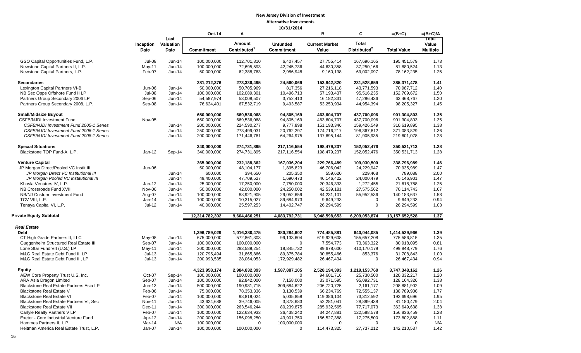|                                         |               |           | <b>Oct-14</b>  | Α                        |                   | в                              | C                        | $=(B+C)$           | $=(B+C)/A$      |
|-----------------------------------------|---------------|-----------|----------------|--------------------------|-------------------|--------------------------------|--------------------------|--------------------|-----------------|
|                                         |               | Last      |                | <b>Amount</b>            |                   |                                | <b>Total</b>             |                    | Total           |
|                                         | Inception     | Valuation |                | Contributed <sup>1</sup> | <b>Unfunded</b>   | <b>Current Market</b><br>Value | Distributed <sup>2</sup> |                    | Value           |
|                                         | Date          | Date      | Commitment     |                          | <b>Commitment</b> |                                |                          | <b>Total Value</b> | <b>Multiple</b> |
| GSO Capital Opportunities Fund, L.P.    | Jul-08        | Jun-14    | 100,000,000    | 112,701,810              | 6,407,457         | 27,755,414                     | 167,696,165              | 195,451,579        | 1.73            |
| Newstone Capital Partners II, L.P.      | May-11        | Jun-14    | 100,000,000    | 72,695,593               | 42,245,736        | 44,630,358                     | 37,250,166               | 81,880,524         | 1.13            |
| Newstone Capital Partners, L.P.         | Feb-07        | Jun-14    | 50,000,000     | 62,388,763               | 2,986,948         | 9,160,138                      | 69,002,097               | 78,162,235         | 1.25            |
|                                         |               |           |                |                          |                   |                                |                          |                    |                 |
| <b>Secondaries</b>                      |               |           | 281,212,376    | 273,336,495              | 24,560,069        | 153,842,820                    | 231,528,659              | 385,371,478        | 1.41            |
| Lexington Capital Partners VI-B         | Jun-06        | $Jun-14$  | 50,000,000     | 50,705,969               | 817,356           | 27,216,118                     | 43,771,593               | 70,987,712         | 1.40            |
| NB Sec Opps Offshore Fund II LP         | <b>Jul-08</b> | $Jun-14$  | 100,000,000    | 102,089,301              | 10,496,713        | 57, 193, 437                   | 95,516,235               | 152,709,672        | 1.50            |
| Partners Group Secondary 2006 LP        | Sep-06        | Jun-14    | 54,587,974     | 53,008,507               | 3,752,413         | 16,182,331                     | 47,286,436               | 63,468,767         | 1.20            |
| Partners Group Secondary 2008, L.P.     | Sep-08        | Jun-14    | 76,624,401     | 67,532,719               | 9,493,587         | 53,250,934                     | 44,954,394               | 98,205,327         | 1.45            |
| <b>Small/Midsize Buyout</b>             |               |           | 650,000,000    | 669,536,068              | 94,805,169        | 463,604,707                    | 437,700,096              | 901,304,803        | 1.35            |
| <b>CSFB/NJDI Investment Fund</b>        | Nov-05        |           | 650,000,000    | 669,536,068              | 94,805,169        | 463,604,707                    | 437,700,096              | 901,304,803        | 1.35            |
| CSFB/NJDI Investment Fund 2005-1 Series |               | $Jun-14$  | 200,000,000    | 224,590,277              | 9,777,898         | 151,193,346                    | 159,426,549              | 310,619,895        | 1.38            |
| CSFB/NJDI Investment Fund 2006-1 Series |               | $Jun-14$  | 250,000,000    | 273,499,031              | 20,762,297        | 174,716,217                    | 196,367,612              | 371,083,829        | 1.36            |
| CSFB/NJDI Investment Fund 2008-1 Series |               | $Jun-14$  | 200,000,000    | 171,446,761              | 64,264,975        | 137,695,144                    | 81,905,935               | 219,601,078        | 1.28            |
|                                         |               |           |                |                          |                   |                                |                          |                    |                 |
| <b>Special Situations</b>               |               |           | 340,000,000    | 274,731,895              | 217,116,554       | 198,479,237                    | 152,052,476              | 350,531,713        | 1.28            |
| Blackstone TOP Fund-A, L.P.             | Jan-12        | Sep-14    | 340,000,000    | 274,731,895              | 217,116,554       | 198,479,237                    | 152,052,476              | 350,531,713        | 1.28            |
| <b>Venture Capital</b>                  |               |           | 365,000,000    | 232,188,362              | 167,036,204       | 229,766,489                    | 109,030,500              | 338,796,989        | 1.46            |
| JP Morgan Direct/Pooled VC Instit III   | Jun-06        |           | 50,000,000     | 48,104,177               | 1,895,823         | 46,706,042                     | 24,229,947               | 70,935,989         | 1.47            |
| JP Morgan Direct VC Institutional III   |               | $Jun-14$  | 600,000        | 394,650                  | 205,350           | 559,620                        | 229,468                  | 789,088            | 2.00            |
| JP Morgan Pooled VC Institutional III   |               | $Jun-14$  | 49,400,000     | 47,709,527               | 1,690,473         | 46,146,422                     | 24,000,479               | 70,146,901         | 1.47            |
| Khosla Venutres IV, L.P.                | $Jan-12$      | $Jun-14$  | 25,000,000     | 17,250,000               | 7,750,000         | 20,346,333                     | 1,272,455                | 21,618,788         | 1.25            |
| NB Crossroads Fund XVIII                | Nov-06        | Jun-14    | 50,000,000     | 42,000,000               | 24,250,002        | 42,539,181                     | 27,575,562               | 70,114,743         | 1.67            |
| NB/NJ Custom Investment Fund            | Aug-07        | $Jun-14$  | 100,000,000    | 88,921,905               | 29,052,659        | 84,231,101                     | 55,952,536               | 140,183,637        | 1.58            |
| TCV VIII, L.P.                          | Jan-14        | Jun-14    | 100,000,000    | 10,315,027               | 89,684,973        | 9,649,233                      | 0                        | 9,649,233          | 0.94            |
| Tenaya Capital VI, L.P.                 | Jul-12        | $Jun-14$  | 40,000,000     | 25,597,253               | 14,402,747        | 26,294,599                     | 0                        | 26,294,599         | 1.03            |
|                                         |               |           |                |                          |                   |                                |                          |                    |                 |
| <b>Private Equity Subtotal</b>          |               |           | 12,314,782,302 | 9,604,466,251            | 4,083,792,731     | 6,948,598,653                  | 6,209,053,874            | 13,157,652,528     | 1.37            |
| <b>Real Estate</b>                      |               |           |                |                          |                   |                                |                          |                    |                 |
| <b>Debt</b>                             |               |           | 1,396,789,029  | 1,016,380,475            | 380,284,602       | 774,485,881                    | 640,044,085              | 1,414,529,966      | 1.39            |
| CT High Grade Partners II, LLC          | May-08        | Jun-14    | 675,000,000    | 572,861,303              | 99,133,604        | 619,929,608                    | 155,657,208              | 775,586,815        | 1.35            |
| Guggenheim Structured Real Estate III   | Sep-07        | $Jun-14$  | 100,000,000    | 100,000,000              | 0                 | 7,554,773                      | 73,363,322               | 80,918,095         | 0.81            |
| Lone Star Fund VII (U.S.) LP            | May-11        | Jun-14    | 300,000,000    | 283,589,254              | 18,845,732        | 89,678,600                     | 410,170,179              | 499,848,779        | 1.76            |
| M&G Real Estate Debt Fund II, LP        | $Jul-13$      | $Jun-14$  | 120,795,494    | 31,865,866               | 89,375,784        | 30,855,466                     | 853,376                  | 31,708,843         | 1.00            |
| M&G Real Estate Debt Fund III, LP       | $Jul-13$      | Jun-14    | 200,993,535    | 28,064,053               | 172,929,482       | 26,467,434                     | 0                        | 26,467,434         | 0.94            |
| <b>Equity</b>                           |               |           | 4,323,958,174  | 2,984,832,393            | 1,587,887,105     | 2,528,194,393                  | 1,219,153,769            | 3,747,348,162      | 1.26            |
| AEW Core Property Trust U.S. Inc.       | Oct-07        | Sep-14    | 100,000,000    | 100,000,000              | 0                 | 94,601,716                     | 25,730,500               | 120,332,217        | 1.20            |
| ARA Asia Dragon Limited                 | Sep-07        | $Jun-14$  | 100,000,000    | 92,842,000               | 7,158,000         | 33,071,595                     | 95,092,731               | 128,164,326        | 1.38            |
| Blackstone Real Estate Partners Asia LP | $Jun-13$      | $Jun-14$  | 500,000,000    | 190,981,715              | 309,684,622       | 206,720,725                    | 2,161,177                | 208,881,902        | 1.09            |
| Blackstone Real Estate V                | Feb-06        | $Jun-14$  | 75,000,000     | 78,353,336               | 3,130,539         | 66,234,769                     | 72,555,137               | 138,789,906        | 1.77            |
| <b>Blackstone Real Estate VI</b>        | Feb-07        | Jun-14    | 100,000,000    | 98,819,024               | 5,035,858         | 119,386,104                    | 73,312,592               | 192,698,696        | 1.95            |
| Blackstone Real Estate Partners VI, Sec | <b>Nov-11</b> | Jun-14    | 43,624,688     | 39,746,005               | 3,878,683         | 52,281,041                     | 28,899,438               | 81,180,479         | 2.04            |
| <b>Blackstone Real Estate VII</b>       | Dec-11        | $Jun-14$  | 300,000,000    | 263,546,244              | 80,239,875        | 285,932,565                    | 77,717,073               | 363,649,638        | 1.38            |
| Carlyle Realty Partners V LP            | Feb-07        | Jun-14    | 100,000,000    | 122,634,933              | 36,438,240        | 34,247,881                     | 122,588,578              | 156,836,459        | 1.28            |
| Exeter - Core Industrial Venture Fund   | Apr-12        | Jun-14    | 200,000,000    | 156,098,250              | 43,901,750        | 156,527,388                    | 17,275,500               | 173,802,888        |                 |
| Hammes Partners II, L.P.                | Mar-14        | N/A       | 100,000,000    | $\mathbf 0$              | 100,000,000       | 0                              | 0                        | 0                  | 1.11<br>N/A     |
| Heitman America Real Estate Trust, L.P. | Jan-07        | $Jun-14$  | 100,000,000    | 100,000,000              | 0                 | 114,473,325                    | 27,737,212               | 142,210,537        | 1.42            |
|                                         |               |           |                |                          |                   |                                |                          |                    |                 |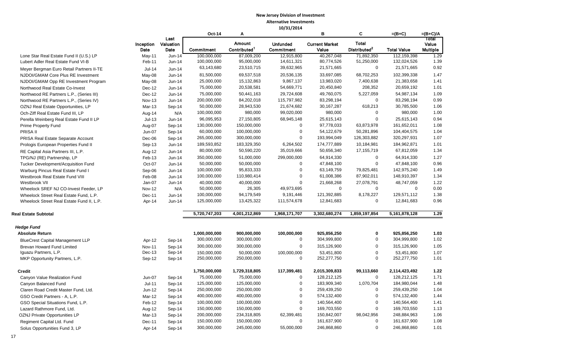|                                                                                     |                   |                           | Oct-14                   | Α                                         |                                      | в                              | C                                        | $=(B+C)$                  | $=(B+C)/A$                        |
|-------------------------------------------------------------------------------------|-------------------|---------------------------|--------------------------|-------------------------------------------|--------------------------------------|--------------------------------|------------------------------------------|---------------------------|-----------------------------------|
|                                                                                     | Inception<br>Date | Last<br>Valuation<br>Date | Commitment               | <b>Amount</b><br>Contributed <sup>1</sup> | <b>Unfunded</b><br><b>Commitment</b> | <b>Current Market</b><br>Value | <b>Total</b><br>Distributed <sup>2</sup> | <b>Total Value</b>        | Total<br>Value<br><b>Multiple</b> |
| Lone Star Real Estate Fund II (U.S.) LP                                             | $May-11$          | Jun-14                    | 100,000,000              | 87,009,200                                | 12,915,800                           | 40,267,048                     | 71,892,350                               | 112,159,398               | 1.29                              |
| Lubert Adler Real Estate Fund VI-B                                                  | Feb-11            | Jun-14                    | 100,000,000              | 95,000,000                                | 14,611,321                           | 80,774,526                     | 51,250,000                               | 132,024,526               | 1.39                              |
| Meyer Bergman Euro Retail Partners II-TE                                            | $Jul-14$          | $Jun-14$                  | 63,143,680               | 23,510,715                                | 39,632,965                           | 21,571,665                     | $\mathbf 0$                              | 21,571,665                | 0.92                              |
| NJDOI/GMAM Core Plus RE Investment                                                  | May-08            | Jun-14                    | 81,500,000               | 69,537,518                                | 20,536,135                           | 33,697,085                     | 68,702,253                               | 102,399,338               | 1.47                              |
| NJDOI/GMAM Opp RE Investment Program                                                | May-08            | Jun-14                    | 25,000,000               | 15, 132, 863                              | 9,867,137                            | 13,983,020                     | 7,400,638                                | 21,383,658                | 1.41                              |
| Northwood Real Estate Co-Invest                                                     | Dec-12            | Jun-14                    | 75,000,000               | 20,538,581                                | 54,669,771                           | 20,450,840                     | 208,352                                  | 20,659,192                | 1.01                              |
| Northwood RE Partners L.P., (Series III)                                            | Dec-12            | Jun-14                    | 75,000,000               | 50,441,163                                | 29,724,608                           | 49,760,075                     | 5,227,059                                | 54,987,134                | 1.09                              |
| Northwood RE Partners L.P., (Series IV)                                             | <b>Nov-13</b>     | Jun-14                    | 200,000,000              | 84,202,018                                | 115,797,982                          | 83,298,194                     | 0                                        | 83,298,194                | 0.99                              |
| OZNJ Real Estate Opportunities, LP                                                  | Mar-13            | Sep-14                    | 50,000,000               | 28,943,530                                | 21,674,682                           | 30,167,287                     | 618,213                                  | 30,785,500                | 1.06                              |
| Och-Ziff Real Estate Fund III, LP                                                   | Aug-14            | N/A                       | 100,000,000              | 980,000                                   | 99,020,000                           | 980,000                        | 0                                        | 980,000                   | 1.00                              |
| Perella Weinberg Real Estate Fund II LP                                             | $Jul-13$          | Jun-14                    | 96,095,953               | 27,150,805                                | 68,945,148                           | 25,615,143                     | $\mathbf 0$                              | 25,615,143                | 0.94                              |
| Prime Property Fund                                                                 | Aug-07            | Sep-14                    | 130,000,000              | 150,000,000                               | 0                                    | 97,778,033                     | 63,873,978                               | 161,652,011               | 1.08                              |
| PRISA II                                                                            | Jun-07            | Sep-14                    | 60,000,000               | 100,000,000                               | 0                                    | 54,122,679                     | 50,281,896                               | 104,404,575               | 1.04                              |
| PRISA Real Estate Separate Account                                                  | Dec-06            | Sep-14                    | 265,000,000              | 300,000,000                               | 0                                    | 193,994,049                    | 126,303,882                              | 320,297,931               | 1.07                              |
| Prologis European Properties Fund II                                                | Sep-13            | Jun-14                    | 189,593,852              | 183,329,350                               | 6,264,502<br>35,019,666              | 174,777,889                    | 10,184,981                               | 184,962,871               | 1.01<br>1.34                      |
| RE Capital Asia Partners III, L.P.                                                  | Aug-12            | Jun-14                    | 80,000,000               | 50,590,220                                |                                      | 50,656,340                     | 17,155,719                               | 67,812,059                |                                   |
| TPG/NJ (RE) Partnership, LP                                                         | Feb-13            | Jun-14                    | 350,000,000              | 51,000,000                                | 299,000,000                          | 64,914,330                     | $\mathbf 0$                              | 64,914,330                | 1.27                              |
| Tucker Development/Acquisition Fund                                                 | Oct-07            | Jun-14                    | 50,000,000               | 50,000,000                                | 0                                    | 47,848,100                     | $\mathbf 0$                              | 47,848,100                | 0.96                              |
| Warburg Pincus Real Estate Fund I                                                   | Sep-06            | Jun-14                    | 100,000,000              | 95,833,333                                | 0                                    | 63,149,759                     | 79,825,481                               | 142,975,240               | 1.49                              |
| Westbrook Real Estate Fund VIII                                                     | Feb-08            | Jun-14                    | 100,000,000              | 110,980,414                               | 0<br>0                               | 61,008,386                     | 87,902,011                               | 148,910,397<br>48,747,059 | 1.34<br>1.22                      |
| Westbrook VII                                                                       | Jan-07            | Jun-14                    | 40,000,000<br>50,000,000 | 40,000,000<br>26,305                      | 49,973,695                           | 21,668,268<br>0                | 27,078,791<br>0                          | 0                         | 0.00                              |
| Wheelock SREF NJ CO-Invest Feeder, LP                                               | Nov-12            | N/A                       | 100,000,000              | 94,179,549                                | 9,191,446                            | 121,392,885                    | 8,178,227                                | 129,571,112               | 1.38                              |
| Wheelock Street Real Estate Fund, L.P.<br>Wheelock Street Real Estate Fund II, L.P. | Dec-11<br>Apr-14  | Jun-14<br>Jun-14          | 125,000,000              | 13,425,322                                | 111,574,678                          | 12,841,683                     | $\mathbf 0$                              | 12,841,683                | 0.96                              |
|                                                                                     |                   |                           |                          |                                           |                                      |                                |                                          |                           |                                   |
| Real Estate Subtotal                                                                |                   |                           | 5,720,747,203            | 4,001,212,869                             | 1,968,171,707                        | 3,302,680,274                  | 1,859,197,854                            | 5,161,878,128             | 1.29                              |
| <b>Hedge Fund</b>                                                                   |                   |                           |                          |                                           |                                      |                                |                                          |                           |                                   |
| <b>Absolute Return</b>                                                              |                   |                           | 1,000,000,000            | 900,000,000                               | 100,000,000                          | 925,856,250                    | 0                                        | 925,856,250               | 1.03                              |
| <b>BlueCrest Capital Management LLP</b>                                             | Apr-12            | Sep-14                    | 300,000,000              | 300,000,000                               | 0                                    | 304,999,800                    | $\mathbf 0$                              | 304,999,800               | 1.02                              |
| Brevan Howard Fund Limited                                                          | <b>Nov-11</b>     | Sep-14                    | 300,000,000              | 300,000,000                               | 0                                    | 315,126,900                    | $\mathbf 0$                              | 315,126,900               | 1.05                              |
| Iguazu Partners, L.P.                                                               | $Dec-13$          | Sep-14                    | 150,000,000              | 50,000,000                                | 100,000,000                          | 53,451,800                     | $\boldsymbol{0}$                         | 53,451,800                | 1.07                              |
| MKP Opportunity Partners, L.P.                                                      | Sep-12            | Sep-14                    | 250,000,000              | 250,000,000                               | 0                                    | 252,277,750                    | $\mathbf 0$                              | 252,277,750               | 1.01                              |
| <b>Credit</b>                                                                       |                   |                           | 1,750,000,000            | 1,729,318,805                             | 117,399,481                          | 2,015,309,833                  | 99,113,660                               | 2,114,423,492             | 1.22                              |
| Canyon Value Realization Fund                                                       | Jun-07            | Sep-14                    | 75,000,000               | 75,000,000                                | 0                                    | 128,212,125                    | 0                                        | 128,212,125               | 1.71                              |
| Canyon Balanced Fund                                                                | $Jul-11$          | Sep-14                    | 125,000,000              | 125,000,000                               | 0                                    | 183,909,340                    | 1,070,704                                | 184,980,044               | 1.48                              |
| Claren Road Credit Master Fund, Ltd.                                                | Jun-12            | Sep-14                    | 250,000,000              | 250,000,000                               | 0                                    | 259,439,250                    | U                                        | 259,439,250               | 1.04                              |
| GSO Credit Partners - A, L.P.                                                       | Mar-12            | Sep-14                    | 400,000,000              | 400,000,000                               | 0                                    | 574,132,400                    | 0                                        | 574,132,400               | 1.44                              |
| GSO Special Situations Fund, L.P.                                                   | Feb-12            | Sep-14                    | 100,000,000              | 100,000,000                               | 0                                    | 140,564,400                    | $\mathbf 0$                              | 140,564,400               | 1.41                              |
| Lazard Rathmore Fund, Ltd.                                                          | Aug-12            | Sep-14                    | 150,000,000              | 150,000,000                               | 0                                    | 169,703,550                    | $\mathbf 0$                              | 169,703,550               | 1.13                              |
| OZNJ Private Opportunities LP                                                       | Mar-13            | Sep-14                    | 200,000,000              | 234,318,805                               | 62,399,481                           | 150,842,007                    | 98,042,956                               | 248,884,963               | 1.06                              |
| Regiment Capital Ltd. Fund                                                          | Dec-11            | Sep-14                    | 150,000,000              | 150,000,000                               | 0                                    | 161,637,900                    | 0                                        | 161,637,900               | 1.08                              |
| Solus Opportunities Fund 3, LP                                                      | Apr-14            | Sep-14                    | 300,000,000              | 245,000,000                               | 55,000,000                           | 246,868,860                    | 0                                        | 246,868,860               | 1.01                              |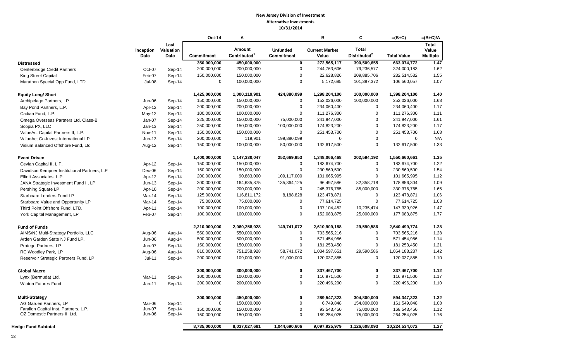|                                              |               |                   | $Oct-14$      | Α                        |                         | в                     | C                        | $=(B+C)$           | $=(B+C)/A$            |
|----------------------------------------------|---------------|-------------------|---------------|--------------------------|-------------------------|-----------------------|--------------------------|--------------------|-----------------------|
|                                              | Inception     | Last<br>Valuation |               | Amount                   | <b>Unfunded</b>         | <b>Current Market</b> | <b>Total</b>             |                    | <b>Total</b><br>Value |
|                                              | Date          | Date              | Commitment    | Contributed <sup>1</sup> | Commitment              | Value                 | Distributed <sup>2</sup> | <b>Total Value</b> | <b>Multiple</b>       |
| <b>Distressed</b>                            |               |                   | 350,000,000   | 450,000,000              | $\overline{\mathbf{0}}$ | 272,565,117           | 390,509,655              | 663,074,772        | 1.47                  |
| <b>Centerbridge Credit Partners</b>          | Oct-07        | Sep-14            | 200,000,000   | 200,000,000              | $\mathbf 0$             | 244,763,606           | 79,236,577               | 324,000,183        | 1.62                  |
| King Street Capital                          | Feb-07        | Sep-14            | 150,000,000   | 150,000,000              | $\pmb{0}$               | 22,628,826            | 209,885,706              | 232,514,532        | 1.55                  |
| Marathon Special Opp Fund, LTD               | $Jul-08$      | Sep-14            | 0             | 100,000,000              | $\mathbf 0$             | 5,172,685             | 101,387,372              | 106,560,057        | 1.07                  |
| <b>Equity Long/ Short</b>                    |               |                   | 1,425,000,000 | 1,000,119,901            | 424,880,099             | 1,298,204,100         | 100,000,000              | 1,398,204,100      | 1.40                  |
| Archipelago Partners, LP                     | Jun-06        | Sep-14            | 150,000,000   | 150,000,000              | $\mathbf 0$             | 152,026,000           | 100,000,000              | 252,026,000        | 1.68                  |
| Bay Pond Partners, L.P.                      | Apr-12        | Sep-14            | 200,000,000   | 200,000,000              | 0                       | 234,060,400           | $\mathbf 0$              | 234,060,400        | 1.17                  |
| Cadian Fund. L.P.                            | May-12        | Sep-14            | 100,000,000   | 100,000,000              | $\Omega$                | 111,276,300           | $\mathbf 0$              | 111,276,300        | 1.11                  |
| Omega Overseas Partners Ltd. Class-B         | Jan-07        | Sep-14            | 225,000,000   | 150,000,000              | 75,000,000              | 241,947,000           | $\boldsymbol{0}$         | 241,947,000        | 1.61                  |
| Scopia PX, LLC                               | $Jan-13$      | Sep-14            | 250,000,000   | 150,000,000              | 100,000,000             | 174,823,200           | $\mathbf 0$              | 174,823,200        | 1.17                  |
| ValueAct Capital Partners II, L.P.           | <b>Nov-11</b> | Sep-14            | 150,000,000   | 150,000,000              | 0                       | 251,453,700           | $\mathbf 0$              | 251,453,700        | 1.68                  |
| ValueAct Co-Invest International LP          | $Jun-13$      | Sep-14            | 200,000,000   | 119,901                  | 199,880,099             | $\mathbf 0$           | $\mathbf 0$              | $\mathbf 0$        | N/A                   |
| Visium Balanced Offshore Fund, Ltd           | Aug-12        | Sep-14            | 150,000,000   | 100,000,000              | 50,000,000              | 132,617,500           | $\mathbf 0$              | 132,617,500        | 1.33                  |
| <b>Event Driven</b>                          |               |                   | 1,400,000,000 | 1,147,330,047            | 252,669,953             | 1,348,066,468         | 202,594,192              | 1,550,660,661      | 1.35                  |
| Cevian Capital II, L.P.                      | Apr-12        | Sep-14            | 150,000,000   | 150,000,000              | 0                       | 183,674,700           | $\mathbf 0$              | 183,674,700        | 1.22                  |
| Davidson Kempner Institutional Partners, L.P | Dec-06        | Sep-14            | 150,000,000   | 150,000,000              | $\pmb{0}$               | 230,569,500           | $\mathbf 0$              | 230,569,500        | 1.54                  |
| Elliott Associates, L.P.                     | Apr-12        | Sep-14            | 200,000,000   | 90,883,000               | 109,117,000             | 101,665,995           | $\mathbf 0$              | 101,665,995        | 1.12                  |
| JANA Strategic Investment Fund II, LP        | $Jun-13$      | Sep-14            | 300,000,000   | 164,635,875              | 135,364,125             | 96,497,586            | 82,358,718               | 178,856,304        | 1.09                  |
| Pershing Square LP                           | Apr-10        | Sep-14            | 200,000,000   | 200,000,000              | $\mathbf 0$             | 245,376,765           | 85,000,000               | 330,376,765        | 1.65                  |
| Starboard Leaders Fund LP                    | Mar-14        | Sep-14            | 125,000,000   | 116,811,172              | 8,188,828               | 123,478,871           | $\mathbf 0$              | 123,478,871        | 1.06                  |
| Starboard Value and Opportunity LP           | Mar-14        | Sep-14            | 75,000,000    | 75,000,000               | 0                       | 77,614,725            | $\mathbf 0$              | 77,614,725         | 1.03                  |
| Third Point Offshore Fund, LTD.              | Apr-11        | Sep-14            | 100,000,000   | 100,000,000              | $\pmb{0}$               | 137,104,452           | 10,235,474               | 147,339,926        | 1.47                  |
| York Capital Management, LP                  | Feb-07        | Sep-14            | 100,000,000   | 100,000,000              | $\mathbf 0$             | 152,083,875           | 25,000,000               | 177,083,875        | 1.77                  |
| <b>Fund of Funds</b>                         |               |                   | 2,210,000,000 | 2,060,258,928            | 149,741,072             | 2,610,909,188         | 29,590,586               | 2,640,499,774      | 1.28                  |
| AIMS/NJ Multi-Strategy Portfolio, LLC        | Aug-06        | Aug-14            | 550,000,000   | 550,000,000              | $\mathbf 0$             | 703,565,216           | $\mathbf 0$              | 703,565,216        | 1.28                  |
| Arden Garden State NJ Fund LP.               | Jun-06        | Aug-14            | 500,000,000   | 500,000,000              | 0                       | 571,454,986           | $\mathbf 0$              | 571,454,986        | 1.14                  |
| Protege Partners, LP                         | Jun-07        | Sep-14            | 150,000,000   | 150,000,000              | 0                       | 181,253,450           | $\mathbf 0$              | 181,253,450        | 1.21                  |
| RC Woodley Park, LP                          | Aug-06        | Aug-14            | 810,000,000   | 751,258,928              | 58,741,072              | 1,034,597,651         | 29,590,586               | 1,064,188,237      | 1.42                  |
| Reservoir Strategic Partners Fund, LP        | $Jul-11$      | Sep-14            | 200,000,000   | 109,000,000              | 91,000,000              | 120,037,885           | $\mathbf 0$              | 120,037,885        | 1.10                  |
| <b>Global Macro</b>                          |               |                   | 300,000,000   | 300,000,000              | 0                       | 337,467,700           | $\bf{0}$                 | 337,467,700        | 1.12                  |
| Lynx (Bermuda) Ltd.                          | Mar-11        | Sep-14            | 100,000,000   | 100,000,000              | $\pmb{0}$               | 116,971,500           | $\mathbf 0$              | 116,971,500        | 1.17                  |
| Winton Futures Fund                          | Jan-11        | Sep-14            | 200,000,000   | 200,000,000              | $\mathbf 0$             | 220,496,200           | $\mathbf 0$              | 220,496,200        | 1.10                  |
| <b>Multi-Strategy</b>                        |               |                   | 300,000,000   | 450,000,000              | 0                       | 289,547,323           | 304,800,000              | 594, 347, 323      | 1.32                  |
| AG Garden Partners, LP                       | Mar-06        | Sep-14            | $\mathbf 0$   | 150,000,000              | 0                       | 6,749,848             | 154,800,000              | 161,549,848        | 1.08                  |
| Farallon Capital Inst. Partners, L.P.        | Jun-07        | Sep-14            | 150,000,000   | 150,000,000              | 0                       | 93,543,450            | 75,000,000               | 168,543,450        | 1.12                  |
| OZ Domestic Partners II, Ltd.                | Jun-06        | Sep-14            | 150,000,000   | 150,000,000              | $\mathbf 0$             | 189,254,025           | 75,000,000               | 264,254,025        | 1.76                  |
| <b>Hedge Fund Subtotal</b>                   |               |                   | 8,735,000,000 | 8,037,027,681            | 1,044,690,606           | 9,097,925,979         | 1,126,608,093            | 10,224,534,072     | 1.27                  |
|                                              |               |                   |               |                          |                         |                       |                          |                    |                       |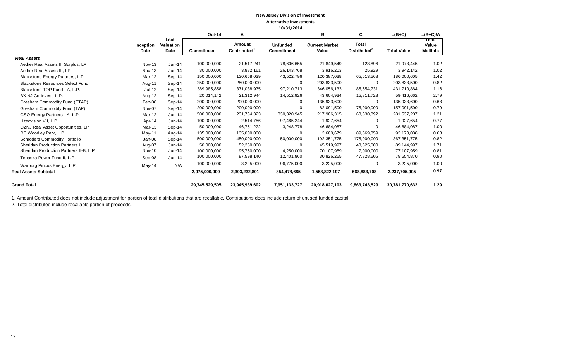|                                         |                   |                           | <b>Oct-14</b>  | А                                         |                                      | в                              | C                                        | $=(B+C)$           | $=(B+C)/A$                        |
|-----------------------------------------|-------------------|---------------------------|----------------|-------------------------------------------|--------------------------------------|--------------------------------|------------------------------------------|--------------------|-----------------------------------|
|                                         | Inception<br>Date | Last<br>Valuation<br>Date | Commitment     | <b>Amount</b><br>Contributed <sup>1</sup> | <b>Unfunded</b><br><b>Commitment</b> | <b>Current Market</b><br>Value | <b>Total</b><br>Distributed <sup>2</sup> | <b>Total Value</b> | Total<br>Value<br><b>Multiple</b> |
| <b>Real Assets</b>                      |                   |                           |                |                                           |                                      |                                |                                          |                    |                                   |
| Aether Real Assets III Surplus, LP      | <b>Nov-13</b>     | $Jun-14$                  | 100,000,000    | 21,517,241                                | 78,606,655                           | 21,849,549                     | 123,896                                  | 21,973,445         | 1.02                              |
| Aether Real Assets III, LP              | <b>Nov-13</b>     | $Jun-14$                  | 30,000,000     | 3,882,161                                 | 26,143,768                           | 3,916,213                      | 25,929                                   | 3,942,142          | 1.02                              |
| Blackstone Energy Partners, L.P.        | Mar-12            | Sep-14                    | 150,000,000    | 130,658,039                               | 43,522,796                           | 120,387,038                    | 65,613,568                               | 186,000,605        | 1.42                              |
| <b>Blackstone Resources Select Fund</b> | Aug-11            | Sep-14                    | 250,000,000    | 250,000,000                               | 0                                    | 203,833,500                    | $\mathbf 0$                              | 203,833,500        | 0.82                              |
| Blackstone TOP Fund - A, L.P.           | Jul-12            | Sep-14                    | 389,985,858    | 371,038,975                               | 97,210,713                           | 346,056,133                    | 85,654,731                               | 431,710,864        | 1.16                              |
| BX NJ Co-Invest, L.P.                   | Aug-12            | Sep-14                    | 20,014,142     | 21,312,944                                | 14,512,926                           | 43,604,934                     | 15,811,728                               | 59,416,662         | 2.79                              |
| Gresham Commodity Fund (ETAP)           | Feb-08            | $Sep-14$                  | 200,000,000    | 200,000,000                               | $\Omega$                             | 135,933,600                    | $\mathbf 0$                              | 135,933,600        | 0.68                              |
| Gresham Commodity Fund (TAP)            | Nov-07            | $Sep-14$                  | 200,000,000    | 200,000,000                               | $\Omega$                             | 82,091,500                     | 75,000,000                               | 157,091,500        | 0.79                              |
| GSO Energy Partners - A, L.P.           | Mar-12            | $Jun-14$                  | 500,000,000    | 231,734,323                               | 330,320,945                          | 217,906,315                    | 63,630,892                               | 281,537,207        | 1.21                              |
| Hitecvision VII, L.P.                   | Apr-14            | $Jun-14$                  | 100,000,000    | 2,514,756                                 | 97,485,244                           | 1,927,654                      | 0                                        | 1,927,654          | 0.77                              |
| OZNJ Real Asset Opportunities, LP       | Mar-13            | Sep-14                    | 50,000,000     | 46,751,222                                | 3,248,778                            | 46,684,087                     | 0                                        | 46,684,087         | 1.00                              |
| RC Woodley Park, L.P.                   | $May-11$          | Aug-14                    | 135,000,000    | 135,000,000                               | $\Omega$                             | 2,600,679                      | 89,569,359                               | 92,170,038         | 0.68                              |
| <b>Schroders Commodity Portfolio</b>    | Jan-08            | Sep-14                    | 500,000,000    | 450,000,000                               | 50,000,000                           | 192,351,775                    | 175,000,000                              | 367, 351, 775      | 0.82                              |
| <b>Sheridan Production Partners I</b>   | Aug-07            | $Jun-14$                  | 50,000,000     | 52,250,000                                | $\Omega$                             | 45,519,997                     | 43,625,000                               | 89,144,997         | 1.71                              |
| Sheridan Production Partners II-B, L.P  | <b>Nov-10</b>     | $Jun-14$                  | 100,000,000    | 95,750,000                                | 4,250,000                            | 70,107,959                     | 7,000,000                                | 77,107,959         | 0.81                              |
| Tenaska Power Fund II, L.P.             | Sep-08            | $Jun-14$                  | 100,000,000    | 87,598,140                                | 12,401,860                           | 30,826,265                     | 47,828,605                               | 78,654,870         | 0.90                              |
| Warburg Pincus Energy, L.P.             | May-14            | N/A                       | 100,000,000    | 3,225,000                                 | 96,775,000                           | 3,225,000                      | 0                                        | 3,225,000          | 1.00                              |
| <b>Real Assets Subtotal</b>             |                   |                           | 2,975,000,000  | 2,303,232,801                             | 854,478,685                          | 1,568,822,197                  | 668,883,708                              | 2,237,705,905      | 0.97                              |
| <b>Grand Total</b>                      |                   |                           | 29,745,529,505 | 23,945,939,602                            | 7,951,133,727                        | 20,918,027,103                 | 9,863,743,529                            | 30,781,770,632     | 1.29                              |

1. Amount Contributed does not include adjustment for portion of total distributions that are recallable. Contributions does include return of unused funded capital.

2. Total distributed include recallable portion of proceeds.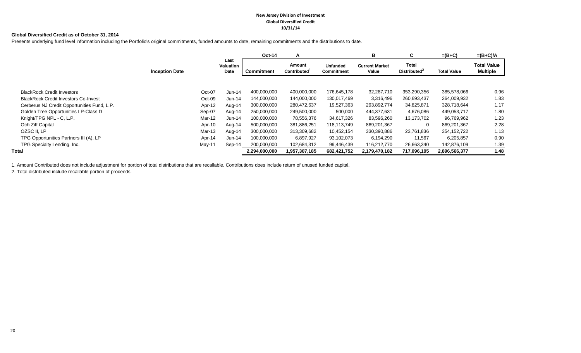#### **New Jersey Division of Investment Global Diversified Credit 10/31/14**

#### **Global Diversified Credit as of October 31, 2014**

Presents underlying fund level information including the Portfolio's original commitments, funded amounts to date, remaining commitments and the distributions to date.

|                                             |                       |                           | Oct-14        | A                     |                               | в                              | C.                                       | $=(B+C)$           | $=(B+C)/A$                            |
|---------------------------------------------|-----------------------|---------------------------|---------------|-----------------------|-------------------------------|--------------------------------|------------------------------------------|--------------------|---------------------------------------|
|                                             | <b>Inception Date</b> | Last<br>Valuation<br>Date | Commitment    | Amount<br>Contributed | <b>Unfunded</b><br>Commitment | <b>Current Market</b><br>Value | <b>Total</b><br>Distributed <sup>2</sup> | <b>Total Value</b> | <b>Total Value</b><br><b>Multiple</b> |
|                                             |                       |                           |               |                       |                               |                                |                                          |                    |                                       |
| <b>BlackRock Credit Investors</b>           |                       | Oct-07<br>Jun-14          | 400,000,000   | 400,000,000           | 176,645,178                   | 32,287,710                     | 353,290,356                              | 385,578,066        | 0.96                                  |
| <b>BlackRock Credit Investors Co-Invest</b> |                       | Oct-09<br>Jun-14          | 144,000,000   | 144,000,000           | 130,017,469                   | 3,316,496                      | 260,693,437                              | 264,009,932        | 1.83                                  |
| Cerberus NJ Credit Opportunities Fund, L.P. |                       | Apr-12<br>Aug-14          | 300,000,000   | 280,472,637           | 19,527,363                    | 293,892,774                    | 34,825,871                               | 328,718,644        | 1.17                                  |
| Golden Tree Opportunities LP-Class D        |                       | Sep-07<br>Aug-14          | 250,000,000   | 249,500,000           | 500,000                       | 444,377,631                    | 4,676,086                                | 449,053,717        | 1.80                                  |
| Knight/TPG NPL - C, L.P.                    |                       | Mar-12<br>Jun-14          | 100,000,000   | 78,556,376            | 34,617,326                    | 83,596,260                     | 13,173,702                               | 96,769,962         | 1.23                                  |
| Och Ziff Capital                            |                       | Apr-10<br>Aug-14          | 500,000,000   | 381,886,251           | 118,113,749                   | 869,201,367                    | $\Omega$                                 | 869,201,367        | 2.28                                  |
| OZSC II, LP                                 |                       | Mar-13<br>Aug-14          | 300,000,000   | 313,309,682           | 10,452,154                    | 330,390,886                    | 23,761,836                               | 354,152,722        | 1.13                                  |
| TPG Opportunities Partners III (A), LP      |                       | Apr-14<br>Jun-14          | 100,000,000   | 6,897,927             | 93,102,073                    | 6,194,290                      | 11,567                                   | 6,205,857          | 0.90                                  |
| TPG Specialty Lending, Inc.                 |                       | Sep-14<br>May-11          | 200,000,000   | 102,684,312           | 99,446,439                    | 116,212,770                    | 26,663,340                               | 142,876,109        | 1.39                                  |
| Total                                       |                       |                           | 2,294,000,000 | 1,957,307,185         | 682,421,752                   | 2,179,470,182                  | 717,096,195                              | 2,896,566,377      | 1.48                                  |

1. Amount Contributed does not include adjustment for portion of total distributions that are recallable. Contributions does include return of unused funded capital.

2. Total distributed include recallable portion of proceeds.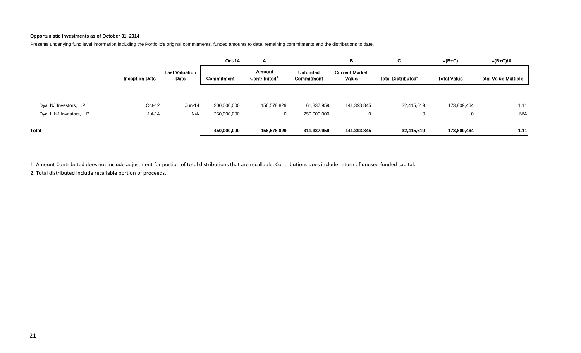#### **Opportunistic Investments as of October 31, 2014**

Presents underlying fund level information including the Portfolio's original commitments, funded amounts to date, remaining commitments and the distributions to date.

|                            |                       |                               | Oct-14      | A                                  |                               | в                              | C.                             | $=(B+C)$           | =(B+C)/A                    |
|----------------------------|-----------------------|-------------------------------|-------------|------------------------------------|-------------------------------|--------------------------------|--------------------------------|--------------------|-----------------------------|
|                            | <b>Inception Date</b> | <b>Last Valuation</b><br>Date | Commitment  | Amount<br>Contributed <sup>1</sup> | <b>Unfunded</b><br>Commitment | <b>Current Market</b><br>Value | Total Distributed <sup>2</sup> | <b>Total Value</b> | <b>Total Value Multiple</b> |
| Dyal NJ Investors, L.P.    | Oct-12                | Jun-14                        | 200,000,000 | 156,578,829                        | 61,337,959                    | 141,393,845                    | 32,415,619                     | 173,809,464        | 1.11                        |
| Dyal II NJ Investors, L.P. | Jul-14                | N/A                           | 250,000,000 | 0                                  | 250,000,000                   | 0                              |                                | 0                  | N/A                         |
| Total                      |                       |                               | 450,000,000 | 156,578,829                        | 311,337,959                   | 141,393,845                    | 32,415,619                     | 173,809,464        | 1.11                        |

1. Amount Contributed does not include adjustment for portion of total distributions that are recallable. Contributions does include return of unused funded capital.

2. Total distributed include recallable portion of proceeds.